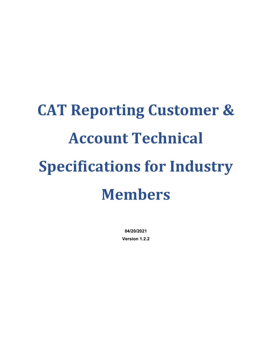# **CAT Reporting Customer & Account Technical Specifications for Industry Members**

**04/20/2021 Version 1.2.2**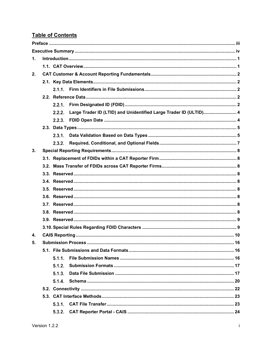# **Table of Contents**

| $\mathbf 1$ . |  |        |                                                                   |  |  |  |  |  |  |  |  |
|---------------|--|--------|-------------------------------------------------------------------|--|--|--|--|--|--|--|--|
|               |  |        |                                                                   |  |  |  |  |  |  |  |  |
| 2.            |  |        |                                                                   |  |  |  |  |  |  |  |  |
|               |  |        |                                                                   |  |  |  |  |  |  |  |  |
|               |  |        |                                                                   |  |  |  |  |  |  |  |  |
|               |  |        |                                                                   |  |  |  |  |  |  |  |  |
|               |  | 2.2.1. |                                                                   |  |  |  |  |  |  |  |  |
|               |  | 2.2.2. | Large Trader ID (LTID) and Unidentified Large Trader ID (ULTID) 4 |  |  |  |  |  |  |  |  |
|               |  |        |                                                                   |  |  |  |  |  |  |  |  |
|               |  |        |                                                                   |  |  |  |  |  |  |  |  |
|               |  |        |                                                                   |  |  |  |  |  |  |  |  |
|               |  | 2.3.2. |                                                                   |  |  |  |  |  |  |  |  |
| 3.            |  |        |                                                                   |  |  |  |  |  |  |  |  |
|               |  |        |                                                                   |  |  |  |  |  |  |  |  |
|               |  |        |                                                                   |  |  |  |  |  |  |  |  |
|               |  |        |                                                                   |  |  |  |  |  |  |  |  |
|               |  |        |                                                                   |  |  |  |  |  |  |  |  |
|               |  |        |                                                                   |  |  |  |  |  |  |  |  |
|               |  |        |                                                                   |  |  |  |  |  |  |  |  |
|               |  |        |                                                                   |  |  |  |  |  |  |  |  |
|               |  |        |                                                                   |  |  |  |  |  |  |  |  |
|               |  |        |                                                                   |  |  |  |  |  |  |  |  |
|               |  |        |                                                                   |  |  |  |  |  |  |  |  |
| 4.            |  |        |                                                                   |  |  |  |  |  |  |  |  |
| 5.            |  |        |                                                                   |  |  |  |  |  |  |  |  |
|               |  |        |                                                                   |  |  |  |  |  |  |  |  |
|               |  | 5.1.1. |                                                                   |  |  |  |  |  |  |  |  |
|               |  | 5.1.2. |                                                                   |  |  |  |  |  |  |  |  |
|               |  | 5.1.3. |                                                                   |  |  |  |  |  |  |  |  |
|               |  | 5.1.4. |                                                                   |  |  |  |  |  |  |  |  |
|               |  |        |                                                                   |  |  |  |  |  |  |  |  |
|               |  |        |                                                                   |  |  |  |  |  |  |  |  |
|               |  | 5.3.1. |                                                                   |  |  |  |  |  |  |  |  |
|               |  | 5.3.2. |                                                                   |  |  |  |  |  |  |  |  |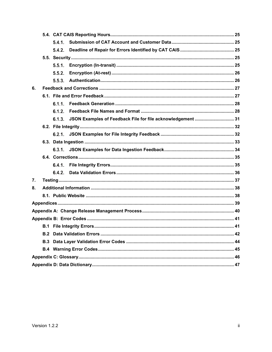|    |     | 541    |                                                                    |  |  |  |  |  |  |
|----|-----|--------|--------------------------------------------------------------------|--|--|--|--|--|--|
|    |     | 5.4.2. |                                                                    |  |  |  |  |  |  |
|    |     |        |                                                                    |  |  |  |  |  |  |
|    |     | 5.5.1. |                                                                    |  |  |  |  |  |  |
|    |     | 5.5.2. |                                                                    |  |  |  |  |  |  |
|    |     | 5.5.3. |                                                                    |  |  |  |  |  |  |
| 6. |     |        |                                                                    |  |  |  |  |  |  |
|    |     |        |                                                                    |  |  |  |  |  |  |
|    |     | 6.1.1  |                                                                    |  |  |  |  |  |  |
|    |     | 6.1.2. |                                                                    |  |  |  |  |  |  |
|    |     |        | 6.1.3. JSON Examples of Feedback File for file acknowledgement  31 |  |  |  |  |  |  |
|    |     |        |                                                                    |  |  |  |  |  |  |
|    |     |        |                                                                    |  |  |  |  |  |  |
|    |     |        |                                                                    |  |  |  |  |  |  |
|    |     |        |                                                                    |  |  |  |  |  |  |
|    |     |        |                                                                    |  |  |  |  |  |  |
|    |     | 6.4.1. |                                                                    |  |  |  |  |  |  |
|    |     | 6.4.2. |                                                                    |  |  |  |  |  |  |
| 7. |     |        |                                                                    |  |  |  |  |  |  |
| 8. |     |        |                                                                    |  |  |  |  |  |  |
|    |     |        |                                                                    |  |  |  |  |  |  |
|    |     |        |                                                                    |  |  |  |  |  |  |
|    |     |        |                                                                    |  |  |  |  |  |  |
|    |     |        |                                                                    |  |  |  |  |  |  |
|    |     |        |                                                                    |  |  |  |  |  |  |
|    | B.2 |        |                                                                    |  |  |  |  |  |  |
|    | B.3 |        |                                                                    |  |  |  |  |  |  |
|    |     |        |                                                                    |  |  |  |  |  |  |
|    |     |        |                                                                    |  |  |  |  |  |  |
|    |     |        |                                                                    |  |  |  |  |  |  |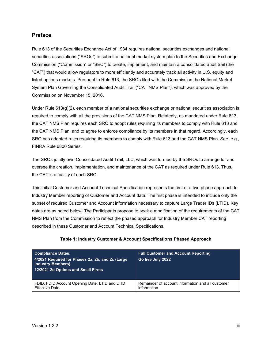# <span id="page-3-0"></span>**Preface**

Rule 613 of the Securities Exchange Act of 1934 requires national securities exchanges and national securities associations ("SROs") to submit a national market system plan to the Securities and Exchange Commission ("Commission" or "SEC") to create, implement, and maintain a consolidated audit trail (the "CAT") that would allow regulators to more efficiently and accurately track all activity in U.S. equity and listed options markets. Pursuant to Rule 613, the SROs filed with the Commission the National Market System Plan Governing the Consolidated Audit Trail ("CAT NMS Plan"), which was approved by the Commission on November 15, 2016.

Under Rule  $613(q)(2)$ , each member of a national securities exchange or national securities association is required to comply with all the provisions of the CAT NMS Plan. Relatedly, as mandated under Rule 613, the CAT NMS Plan requires each SRO to adopt rules requiring its members to comply with Rule 613 and the CAT NMS Plan, and to agree to enforce compliance by its members in that regard. Accordingly, each SRO has adopted rules requiring its members to comply with Rule 613 and the CAT NMS Plan. See, e.g., FINRA Rule 6800 Series.

The SROs jointly own Consolidated Audit Trail, LLC, which was formed by the SROs to arrange for and oversee the creation, implementation, and maintenance of the CAT as required under Rule 613. Thus, the CAT is a facility of each SRO.

This initial Customer and Account Technical Specification represents the first of a two phase approach to Industry Member reporting of Customer and Account data. The first phase is intended to include only the subset of required Customer and Account information necessary to capture Large Trader IDs (LTID). Key dates are as noted below. The Participants propose to seek a modification of the requirements of the CAT NMS Plan from the Commission to reflect the phased approach for Industry Member CAT reporting described in these Customer and Account Technical Specifications.

| <b>Compliance Dates:</b><br>4/2021 Required for Phases 2a, 2b, and 2c (Large<br><b>Industry Members)</b><br>12/2021 2d Options and Small Firms | <b>Full Customer and Account Reporting</b><br>Go live July 2022 |
|------------------------------------------------------------------------------------------------------------------------------------------------|-----------------------------------------------------------------|
| FDID, FDID Account Opening Date, LTID and LTID                                                                                                 | Remainder of account information and all customer               |
| <b>Effective Date</b>                                                                                                                          | information                                                     |

# **Table 1: Industry Customer & Account Specifications Phased Approach**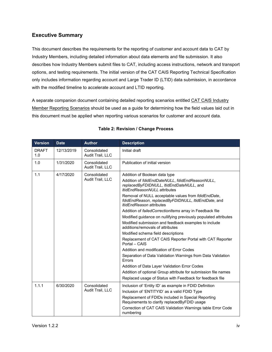# <span id="page-4-0"></span>**Executive Summary**

This document describes the requirements for the reporting of customer and account data to CAT by Industry Members, including detailed information about data elements and file submission. It also describes how Industry Members submit files to CAT, including access instructions, network and transport options, and testing requirements. The initial version of the CAT CAIS Reporting Technical Specification only includes information regarding account and Large Trader ID (LTID) data submission, in accordance with the modified timeline to accelerate account and LTID reporting.

A separate companion document containing detailed reporting scenarios entitled CAT CAIS Industry Member Reporting Scenarios should be used as a guide for determining how the field values laid out in this document must be applied when reporting various scenarios for customer and account data.

| <b>Version</b>      | <b>Date</b> | <b>Author</b>                    | <b>Description</b>                                                                                                                                                                                                                                                                                                                                                                                                                                                                                                                                                                                                                                                                                                                                                                                                                                                                                                                                                               |  |  |  |  |
|---------------------|-------------|----------------------------------|----------------------------------------------------------------------------------------------------------------------------------------------------------------------------------------------------------------------------------------------------------------------------------------------------------------------------------------------------------------------------------------------------------------------------------------------------------------------------------------------------------------------------------------------------------------------------------------------------------------------------------------------------------------------------------------------------------------------------------------------------------------------------------------------------------------------------------------------------------------------------------------------------------------------------------------------------------------------------------|--|--|--|--|
| <b>DRAFT</b><br>1.0 | 12/13/2019  | Consolidated<br>Audit Trail, LLC | Initial draft                                                                                                                                                                                                                                                                                                                                                                                                                                                                                                                                                                                                                                                                                                                                                                                                                                                                                                                                                                    |  |  |  |  |
| 1.0                 | 1/31/2020   | Consolidated<br>Audit Trail, LLC | Publication of initial version                                                                                                                                                                                                                                                                                                                                                                                                                                                                                                                                                                                                                                                                                                                                                                                                                                                                                                                                                   |  |  |  |  |
| 1.1                 | 4/17/2020   | Consolidated<br>Audit Trail, LLC | Addition of Boolean data type<br>Addition of fdidEndDateNULL, fdidEndReasonNULL,<br>replacedByFDIDNULL, ItidEndDateNULL, and<br><b>ItidEndReasonNULL</b> attributes<br>Removal of NULL acceptable values from fdidEndDate,<br>fdidEndReason, replacedByFDIDNULL, ItidEndDate, and<br><i><b>ItidEndReason attributes</b></i><br>Addition of failed Correction Items array in Feedback file<br>Modified guidance on nullifying previously populated attributes<br>Modified submission and feedback examples to include<br>additions/removals of attributes<br>Modified schema field descriptions<br>Replacement of CAT CAIS Reporter Portal with CAT Reporter<br>Portal - CAIS<br>Addition and modification of Error Codes<br>Separation of Data Validation Warnings from Data Validation<br>Errors<br>Addition of Data Layer Validation Error Codes<br>Addition of optional Group attribute for submission file names<br>Replaced usage of Status with Feedback for feedback file |  |  |  |  |
| 1.1.1               | 6/30/2020   | Consolidated<br>Audit Trail, LLC | Inclusion of 'Entity ID' as example in FDID Definition<br>Inclusion of 'ENTITYID' as a valid FDID Type<br>Replacement of FDIDs included in Special Reporting<br>Requirements to clarify replacedByFDID usage<br>Correction of CAT CAIS Validation Warnings table Error Code<br>numbering                                                                                                                                                                                                                                                                                                                                                                                                                                                                                                                                                                                                                                                                                         |  |  |  |  |

# **Table 2: Revision / Change Process**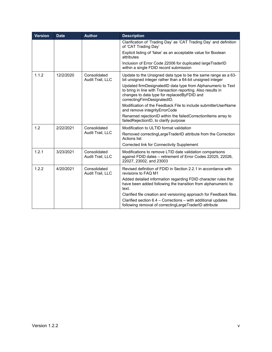| <b>Version</b> | <b>Date</b> | <b>Author</b>                    | <b>Description</b>                                                                                                                                                                                         |  |  |  |
|----------------|-------------|----------------------------------|------------------------------------------------------------------------------------------------------------------------------------------------------------------------------------------------------------|--|--|--|
|                |             |                                  | Clarification of 'Trading Day' as 'CAT Trading Day' and definition<br>of 'CAT Trading Day'                                                                                                                 |  |  |  |
|                |             |                                  | Explicit listing of 'false' as an acceptable value for Boolean<br>attributes                                                                                                                               |  |  |  |
|                |             |                                  | Inclusion of Error Code 22006 for duplicated largeTraderID<br>within a single FDID record submission                                                                                                       |  |  |  |
| 1.1.2          | 12/2/2020   | Consolidated<br>Audit Trail, LLC | Update to the Unsigned data type to be the same range as a 63-<br>bit unsigned integer rather than a 64-bit unsigned integer                                                                               |  |  |  |
|                |             |                                  | Updated firmDesignatedID data type from Alphanumeric to Text<br>to bring in line with Transaction reporting. Also results in<br>changes to data type for replacedByFDID and<br>correctingFirmDesignatedID. |  |  |  |
|                |             |                                  | Modification of the Feedback File to include submitterUserName<br>and remove integrityErrorCode                                                                                                            |  |  |  |
|                |             |                                  | Renamed rejectionID within the failedCorrectionItems array to<br>failedRejectionID, to clarify purpose                                                                                                     |  |  |  |
| 1.2            | 2/22/2021   | Consolidated                     | Modification to ULTID format validation                                                                                                                                                                    |  |  |  |
|                |             | Audit Trail, LLC                 | Removed correctingLargeTraderID attribute from the Correction<br><b>Actions list</b>                                                                                                                       |  |  |  |
|                |             |                                  | Corrected link for Connectivity Supplement                                                                                                                                                                 |  |  |  |
| 1.2.1          | 3/23/2021   | Consolidated<br>Audit Trail, LLC | Modifications to remove LTID date validation comparisons<br>against FDID dates - retirement of Error Codes 22025, 22026,<br>22027, 23002, and 23003                                                        |  |  |  |
| 1.2.2          | 4/20/2021   | Consolidated<br>Audit Trail, LLC | Revised definition of FDID in Section 2.2.1 in accordance with<br>revisions to FAQ M1                                                                                                                      |  |  |  |
|                |             |                                  | Added detailed information regarding FDID character rules that<br>have been added following the transition from alphanumeric to<br>text.                                                                   |  |  |  |
|                |             |                                  | Clarified file creation and versioning approach for Feedback files.                                                                                                                                        |  |  |  |
|                |             |                                  | Clarified section 6.4 - Corrections - with additional updates<br>following removal of correcting Large TraderID attribute                                                                                  |  |  |  |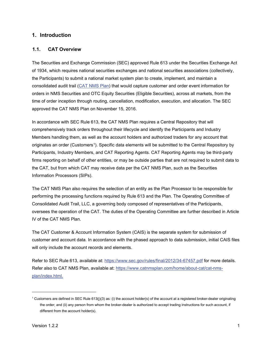# <span id="page-6-0"></span>**1. Introduction**

# <span id="page-6-1"></span>**1.1. CAT Overview**

The Securities and Exchange Commission (SEC) approved Rule 613 under the Securities Exchange Act of 1934, which requires national securities exchanges and national securities associations (collectively, the Participants) to submit a national market system plan to create, implement, and maintain a consolidated audit trail [\(CAT NMS Plan\)](https://www.catnmsplan.com/wp-content/uploads/2017/03/CAT-NMS-Plan-Current-as-of-7.24.17.pdf) that would capture customer and order event information for orders in NMS Securities and OTC Equity Securities (Eligible Securities), across all markets, from the time of order inception through routing, cancellation, modification, execution, and allocation. The SEC approved the CAT NMS Plan on November 15, 2016.

In accordance with SEC Rule 613, the CAT NMS Plan requires a Central Repository that will comprehensively track orders throughout their lifecycle and identify the Participants and Industry Members handling them, as well as the account holders and authorized traders for any account that originates an order (Customers[1\)](#page-6-2). Specific data elements will be submitted to the Central Repository by Participants, Industry Members, and CAT Reporting Agents. CAT Reporting Agents may be third-party firms reporting on behalf of other entities, or may be outside parties that are not required to submit data to the CAT, but from which CAT may receive data per the CAT NMS Plan, such as the Securities Information Processors (SIPs).

The CAT NMS Plan also requires the selection of an entity as the Plan Processor to be responsible for performing the processing functions required by Rule 613 and the Plan. The Operating Committee of Consolidated Audit Trail, LLC, a governing body composed of representatives of the Participants, oversees the operation of the CAT. The duties of the Operating Committee are further described in Article IV of the CAT NMS Plan.

The CAT Customer & Account Information System (CAIS) is the separate system for submission of customer and account data. In accordance with the phased approach to data submission, initial CAIS files will only include the account records and elements.

Refer to SEC Rule 613, available at:<https://www.sec.gov/rules/final/2012/34-67457.pdf> for more details. Refer also to CAT NMS Plan, available at: [https://www.catnmsplan.com/home/about-cat/cat-nms](https://www.catnmsplan.com/home/about-cat/cat-nms-plan/index.html)[plan/index.html.](https://www.catnmsplan.com/home/about-cat/cat-nms-plan/index.html)

<span id="page-6-2"></span><sup>&</sup>lt;sup>1</sup> Customers are defined in SEC Rule 613(j)(3) as: (i) the account holder(s) of the account at a registered broker-dealer originating the order; and (ii) any person from whom the broker-dealer is authorized to accept trading instructions for such account, if different from the account holder(s).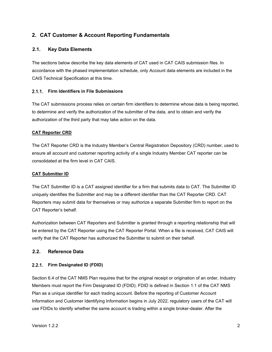# <span id="page-7-0"></span>**2. CAT Customer & Account Reporting Fundamentals**

# <span id="page-7-1"></span>**2.1. Key Data Elements**

The sections below describe the key data elements of CAT used in CAT CAIS submission files. In accordance with the phased implementation schedule, only Account data elements are included in the CAIS Technical Specification at this time.

# <span id="page-7-2"></span>**Firm Identifiers in File Submissions**

The CAT submissions process relies on certain firm identifiers to determine whose data is being reported, to determine and verify the authorization of the submitter of the data, and to obtain and verify the authorization of the third party that may take action on the data.

# **CAT Reporter CRD**

The CAT Reporter CRD is the Industry Member's Central Registration Depository (CRD) number, used to ensure all account and customer reporting activity of a single Industry Member CAT reporter can be consolidated at the firm level in CAT CAIS.

# **CAT Submitter ID**

The CAT Submitter ID is a CAT assigned identifier for a firm that submits data to CAT. The Submitter ID uniquely identifies the Submitter and may be a different identifier than the CAT Reporter CRD. CAT Reporters may submit data for themselves or may authorize a separate Submitter firm to report on the CAT Reporter's behalf.

Authorization between CAT Reporters and Submitter is granted through a reporting relationship that will be entered by the CAT Reporter using the CAT Reporter Portal. When a file is received, CAT CAIS will verify that the CAT Reporter has authorized the Submitter to submit on their behalf.

# <span id="page-7-3"></span>**2.2. Reference Data**

# <span id="page-7-4"></span>**Firm Designated ID (FDID)**

Section 6.4 of the CAT NMS Plan requires that for the original receipt or origination of an order, Industry Members must report the Firm Designated ID (FDID). FDID is defined in Section 1.1 of the CAT NMS Plan as a unique identifier for each trading account. Before the reporting of Customer Account Information and Customer Identifying Information begins in July 2022, regulatory users of the CAT will use FDIDs to identify whether the same account is trading within a single broker-dealer. After the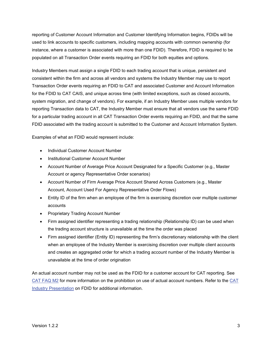reporting of Customer Account Information and Customer Identifying Information begins, FDIDs will be used to link accounts to specific customers, including mapping accounts with common ownership (for instance, where a customer is associated with more than one FDID). Therefore, FDID is required to be populated on all Transaction Order events requiring an FDID for both equities and options.

Industry Members must assign a single FDID to each trading account that is unique, persistent and consistent within the firm and across all vendors and systems the Industry Member may use to report Transaction Order events requiring an FDID to CAT and associated Customer and Account Information for the FDID to CAT CAIS, and unique across time (with limited exceptions, such as closed accounts, system migration, and change of vendors). For example, if an Industry Member uses multiple vendors for reporting Transaction data to CAT, the Industry Member must ensure that all vendors use the same FDID for a particular trading account in all CAT Transaction Order events requiring an FDID, and that the same FDID associated with the trading account is submitted to the Customer and Account Information System.

Examples of what an FDID would represent include:

- Individual Customer Account Number
- Institutional Customer Account Number
- Account Number of Average Price Account Designated for a Specific Customer (e.g., Master Account or agency Representative Order scenarios)
- Account Number of Firm Average Price Account Shared Across Customers (e.g., Master Account, Account Used For Agency Representative Order Flows)
- Entity ID of the firm when an employee of the firm is exercising discretion over multiple customer accounts
- Proprietary Trading Account Number
- Firm assigned identifier representing a trading relationship (Relationship ID) can be used when the trading account structure is unavailable at the time the order was placed
- Firm assigned identifier (Entity ID) representing the firm's discretionary relationship with the client when an employee of the Industry Member is exercising discretion over multiple client accounts and creates an aggregated order for which a trading account number of the Industry Member is unavailable at the time of order origination

An actual account number may not be used as the FDID for a customer account for CAT reporting. See [CAT FAQ M2](https://catnmsplan.com/faq/index.html#faqFDID) for more information on the prohibition on use of actual account numbers. Refer to the [CAT](https://catnmsplan.com/wp-content/uploads/2019/04/FDID-Guidance-April-2019.pdf)  Industry Presentation [on FDID for additional information.](https://catnmsplan.com/wp-content/uploads/2019/04/FDID-Guidance-April-2019.pdf)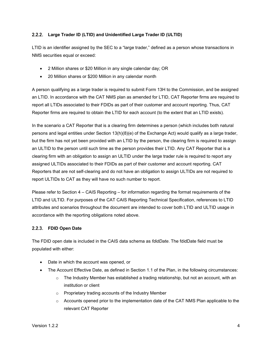# <span id="page-9-0"></span>**Large Trader ID (LTID) and Unidentified Large Trader ID (ULTID)**

LTID is an identifier assigned by the SEC to a "large trader," defined as a person whose transactions in NMS securities equal or exceed:

- 2 Million shares or \$20 Million in any single calendar day; OR
- 20 Million shares or \$200 Million in any calendar month

A person qualifying as a large trader is required to submit Form 13H to the Commission, and be assigned an LTID. In accordance with the CAT NMS plan as amended for LTID, CAT Reporter firms are required to report all LTIDs associated to their FDIDs as part of their customer and account reporting. Thus, CAT Reporter firms are required to obtain the LTID for each account (to the extent that an LTID exists).

In the scenario a CAT Reporter that is a clearing firm determines a person (which includes both natural persons and legal entities under Section 13(h)(8)(e) of the Exchange Act) would qualify as a large trader, but the firm has not yet been provided with an LTID by the person, the clearing firm is required to assign an ULTID to the person until such time as the person provides their LTID. Any CAT Reporter that is a clearing firm with an obligation to assign an ULTID under the large trader rule is required to report any assigned ULTIDs associated to their FDIDs as part of their customer and account reporting. CAT Reporters that are not self-clearing and do not have an obligation to assign ULTIDs are not required to report ULTIDs to CAT as they will have no such number to report.

Please refer to Section 4 – CAIS Reporting – for information regarding the format requirements of the LTID and ULTID. For purposes of the CAT CAIS Reporting Technical Specification, references to LTID attributes and scenarios throughout the document are intended to cover both LTID and ULTID usage in accordance with the reporting obligations noted above.

# <span id="page-9-1"></span>**FDID Open Date**

The FDID open date is included in the CAIS data schema as *fdidDate*. The fdidDate field must be populated with either:

- Date in which the account was opened, or
- The Account Effective Date, as defined in Section 1.1 of the Plan, in the following circumstances:
	- $\circ$  The Industry Member has established a trading relationship, but not an account, with an institution or client
	- o Proprietary trading accounts of the Industry Member
	- o Accounts opened prior to the implementation date of the CAT NMS Plan applicable to the relevant CAT Reporter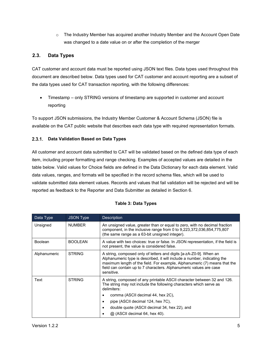$\circ$  The Industry Member has acquired another Industry Member and the Account Open Date was changed to a date value on or after the completion of the merger

# <span id="page-10-0"></span>**2.3. Data Types**

CAT customer and account data must be reported using JSON text files. Data types used throughout this document are described below. Data types used for CAT customer and account reporting are a subset of the data types used for CAT transaction reporting, with the following differences:

• Timestamp – only STRING versions of timestamp are supported in customer and account reporting

To support JSON submissions, the [Industry](https://catnmsplan.com/technical-specifications/index.html) Member Customer & Account Schema (JSON) file is available on the CAT public website that describes each data type with required representation formats.

# <span id="page-10-1"></span>**Data Validation Based on Data Types**

All customer and account data submitted to CAT will be validated based on the defined data type of each item, including proper formatting and range checking. Examples of accepted values are detailed in the table below. Valid values for Choice fields are defined in the Data Dictionary for each data element. Valid data values, ranges, and formats will be specified in the record schema files, which will be used to validate submitted data element values. Records and values that fail validation will be rejected and will be reported as feedback to the Reporter and Data Submitter as detailed in Section 6.

| Data Type      | <b>JSON Type</b> | <b>Description</b>                                                                                                                                                                                                                                                                                              |
|----------------|------------------|-----------------------------------------------------------------------------------------------------------------------------------------------------------------------------------------------------------------------------------------------------------------------------------------------------------------|
| Unsigned       | <b>NUMBER</b>    | An unsigned value, greater than or equal to zero, with no decimal fraction<br>component, in the inclusive range from 0 to 9,223,372,036,854,775,807<br>(the same range as a 63-bit unsigned integer).                                                                                                           |
| <b>Boolean</b> | <b>BOOLEAN</b>   | A value with two choices: true or false. In JSON representation, if the field is<br>not present, the value is considered false.                                                                                                                                                                                 |
| Alphanumeric   | <b>STRING</b>    | A string, composed only of letters and digits [a-zA-Z0-9]. When an<br>Alphanumeric type is described, it will include a number, indicating the<br>maximum length of the field. For example, Alphanumeric (7) means that the<br>field can contain up to 7 characters. Alphanumeric values are case<br>sensitive. |
| Text           | <b>STRING</b>    | A string, composed of any printable ASCII character between 32 and 126.<br>The string may not include the following characters which serve as<br>delimiters:                                                                                                                                                    |
|                |                  | comma (ASCII decimal 44, hex 2C),<br>٠                                                                                                                                                                                                                                                                          |
|                |                  | pipe (ASCII decimal 124, hex 7C),<br>٠                                                                                                                                                                                                                                                                          |
|                |                  | double quote (ASCII decimal 34, hex 22), and<br>$\bullet$                                                                                                                                                                                                                                                       |
|                |                  | @ (ASCII decimal 64, hex 40).                                                                                                                                                                                                                                                                                   |

# **Table 3: Data Types**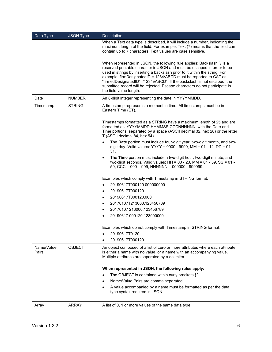| Data Type           | <b>JSON Type</b> | Description                                                                                                                                                                                                                                                                                                                                                                                                                                                                                 |  |  |  |  |  |
|---------------------|------------------|---------------------------------------------------------------------------------------------------------------------------------------------------------------------------------------------------------------------------------------------------------------------------------------------------------------------------------------------------------------------------------------------------------------------------------------------------------------------------------------------|--|--|--|--|--|
|                     |                  | When a Text data type is described, it will include a number, indicating the<br>maximum length of the field. For example, Text (7) means that the field can<br>contain up to 7 characters. Text values are case sensitive.                                                                                                                                                                                                                                                                  |  |  |  |  |  |
|                     |                  | When represented in JSON, the following rule applies: Backslash '\' is a<br>reserved printable character in JSON and must be escaped in order to be<br>used in strings by inserting a backslash prior to it within the string. For<br>example: firmDesignatedID = 1234\ABCD must be reported to CAT as<br>"firmedDesignatedID": "1234\\ABCD". If the backslash is not escaped, the<br>submitted record will be rejected. Escape characters do not participate in<br>the field value length. |  |  |  |  |  |
| Date                | <b>NUMBER</b>    | An 8-digit integer representing the date in YYYYMMDD.                                                                                                                                                                                                                                                                                                                                                                                                                                       |  |  |  |  |  |
| Timestamp           | <b>STRING</b>    | A timestamp represents a moment in time. All timestamps must be in<br>Eastern Time (ET).                                                                                                                                                                                                                                                                                                                                                                                                    |  |  |  |  |  |
|                     |                  | Timestamps formatted as a STRING have a maximum length of 25 and are<br>formatted as 'YYYYMMDD HHMMSS.CCCNNNNNNN' with the Date and<br>Time portions, separated by a space (ASCII decimal 32, hex 20) or the letter<br>T (ASCII decimal 84, hex 54).                                                                                                                                                                                                                                        |  |  |  |  |  |
|                     |                  | The Date portion must include four-digit year, two-digit month, and two-<br>$\bullet$<br>digit day. Valid values: YYYY = 0000 - 9999, MM = 01 - 12, DD = 01 -<br>31.                                                                                                                                                                                                                                                                                                                        |  |  |  |  |  |
|                     |                  | The Time portion must include a two-digit hour, two-digit minute, and<br>$\bullet$<br>two-digit seconds. Valid values: HH = $00 - 23$ , MM = $01 - 59$ , SS = $01 -$<br>59, CCC = $000 - 999$ , NNNNNN = $000000 - 999999$ .                                                                                                                                                                                                                                                                |  |  |  |  |  |
|                     |                  | Examples which comply with Timestamp in STRING format:                                                                                                                                                                                                                                                                                                                                                                                                                                      |  |  |  |  |  |
|                     |                  | 20190617T000120.000000000<br>$\bullet$                                                                                                                                                                                                                                                                                                                                                                                                                                                      |  |  |  |  |  |
|                     |                  | 20190617T000120<br>$\bullet$                                                                                                                                                                                                                                                                                                                                                                                                                                                                |  |  |  |  |  |
|                     |                  | 20190617T000120.000<br>$\bullet$                                                                                                                                                                                                                                                                                                                                                                                                                                                            |  |  |  |  |  |
|                     |                  | 20170107T213000.123456789<br>$\bullet$                                                                                                                                                                                                                                                                                                                                                                                                                                                      |  |  |  |  |  |
|                     |                  | 20170107 213000.123456789<br>$\bullet$                                                                                                                                                                                                                                                                                                                                                                                                                                                      |  |  |  |  |  |
|                     |                  | 20190617 000120.123000000<br>$\bullet$                                                                                                                                                                                                                                                                                                                                                                                                                                                      |  |  |  |  |  |
|                     |                  | Examples which do not comply with Timestamp in STRING format:                                                                                                                                                                                                                                                                                                                                                                                                                               |  |  |  |  |  |
|                     |                  | 20190617T0120<br>٠                                                                                                                                                                                                                                                                                                                                                                                                                                                                          |  |  |  |  |  |
|                     |                  | 20190617T000120.                                                                                                                                                                                                                                                                                                                                                                                                                                                                            |  |  |  |  |  |
| Name/Value<br>Pairs | <b>OBJECT</b>    | An object composed of a list of zero or more attributes where each attribute<br>is either a name with no value, or a name with an accompanying value.<br>Multiple attributes are separated by a delimiter.                                                                                                                                                                                                                                                                                  |  |  |  |  |  |
|                     |                  | When represented in JSON, the following rules apply:                                                                                                                                                                                                                                                                                                                                                                                                                                        |  |  |  |  |  |
|                     |                  | The OBJECT is contained within curly brackets $\{ \}$<br>٠                                                                                                                                                                                                                                                                                                                                                                                                                                  |  |  |  |  |  |
|                     |                  | Name/Value Pairs are comma separated<br>$\bullet$                                                                                                                                                                                                                                                                                                                                                                                                                                           |  |  |  |  |  |
|                     |                  | A value accompanied by a name must be formatted as per the data<br>$\bullet$<br>type syntax required in JSON                                                                                                                                                                                                                                                                                                                                                                                |  |  |  |  |  |
| Array               | <b>ARRAY</b>     | A list of 0, 1 or more values of the same data type.                                                                                                                                                                                                                                                                                                                                                                                                                                        |  |  |  |  |  |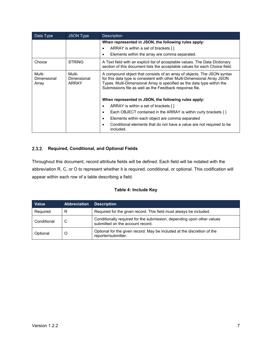| Data Type                      | <b>JSON Type</b>                      | <b>Description</b>                                                                                                                                                                                                                                                                        |  |  |  |  |  |
|--------------------------------|---------------------------------------|-------------------------------------------------------------------------------------------------------------------------------------------------------------------------------------------------------------------------------------------------------------------------------------------|--|--|--|--|--|
|                                |                                       | When represented in JSON, the following rules apply:                                                                                                                                                                                                                                      |  |  |  |  |  |
|                                |                                       | ARRAY is within a set of brackets []<br>$\bullet$                                                                                                                                                                                                                                         |  |  |  |  |  |
|                                |                                       | Elements within the array are comma separated.<br>$\bullet$                                                                                                                                                                                                                               |  |  |  |  |  |
| Choice                         | <b>STRING</b>                         | A Text field with an explicit list of acceptable values. The Data Dictionary<br>section of this document lists the acceptable values for each Choice field.                                                                                                                               |  |  |  |  |  |
| Multi-<br>Dimensional<br>Array | Multi-<br>Dimensional<br><b>ARRAY</b> | A compound object that consists of an array of objects. The JSON syntax<br>for this data type is consistent with other Multi-Dimensional Array JSON<br>Types. Multi-Dimensional Array is specified as the data type within the<br>Submissions file as well as the Feedback response file. |  |  |  |  |  |
|                                |                                       | When represented in JSON, the following rules apply:                                                                                                                                                                                                                                      |  |  |  |  |  |
|                                |                                       | ARRAY is within a set of brackets []<br>$\bullet$                                                                                                                                                                                                                                         |  |  |  |  |  |
|                                |                                       | Each OBJECT contained in the ARRAY is within curly brackets $\{ \}$<br>$\bullet$                                                                                                                                                                                                          |  |  |  |  |  |
|                                |                                       | Elements within each object are comma separated<br>٠                                                                                                                                                                                                                                      |  |  |  |  |  |
|                                |                                       | Conditional elements that do not have a value are not required to be<br>C<br>included.                                                                                                                                                                                                    |  |  |  |  |  |

# <span id="page-12-0"></span>**Required, Conditional, and Optional Fields**

Throughout this document, record attribute fields will be defined. Each field will be notated with the abbreviation R, C, or O to represent whether it is required, conditional, or optional. This codification will appear within each row of a table describing a field.

# **Table 4: Include Key**

| <b>Value</b> | <b>Abbreviation</b> | <b>Description</b>                                                                                         |
|--------------|---------------------|------------------------------------------------------------------------------------------------------------|
| Required     | R                   | Required for the given record. This field must always be included.                                         |
| Conditional  | C                   | Conditionally required for the submission, depending upon other values<br>submitted on the account record. |
| Optional     | O                   | Optional for the given record. May be included at the discretion of the<br>reporter/submitter.             |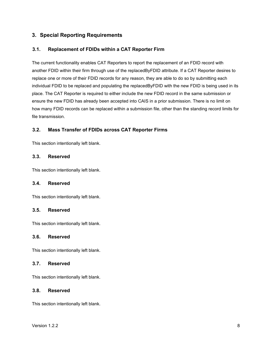# <span id="page-13-0"></span>**3. Special Reporting Requirements**

# <span id="page-13-1"></span>**3.1. Replacement of FDIDs within a CAT Reporter Firm**

The current functionality enables CAT Reporters to report the replacement of an FDID record with another FDID within their firm through use of the replacedByFDID attribute. If a CAT Reporter desires to replace one or more of their FDID records for any reason, they are able to do so by submitting each individual FDID to be replaced and populating the replacedByFDID with the new FDID is being used in its place. The CAT Reporter is required to either include the new FDID record in the same submission or ensure the new FDID has already been accepted into CAIS in a prior submission. There is no limit on how many FDID records can be replaced within a submission file, other than the standing record limits for file transmission.

# <span id="page-13-2"></span>**3.2. Mass Transfer of FDIDs across CAT Reporter Firms**

This section intentionally left blank.

# <span id="page-13-3"></span>**3.3. Reserved**

This section intentionally left blank.

#### <span id="page-13-4"></span>**3.4. Reserved**

This section intentionally left blank.

#### <span id="page-13-5"></span>**3.5. Reserved**

This section intentionally left blank.

#### <span id="page-13-6"></span>**3.6. Reserved**

This section intentionally left blank.

# <span id="page-13-7"></span>**3.7. Reserved**

This section intentionally left blank.

#### <span id="page-13-8"></span>**3.8. Reserved**

This section intentionally left blank.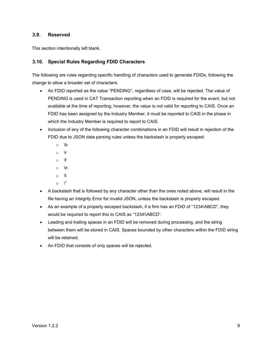# <span id="page-14-0"></span>**3.9. Reserved**

This section intentionally left blank.

# <span id="page-14-1"></span>**3.10. Special Rules Regarding FDID Characters**

The following are rules regarding specific handling of characters used to generate FDIDs, following the change to allow a broader set of characters.

- An FDID reported as the value "PENDING", regardless of case, will be rejected. The value of PENDING is used in CAT Transaction reporting when an FDID is required for the event, but not available at the time of reporting; however, the value is not valid for reporting to CAIS. Once an FDID has been assigned by the Industry Member, it must be reported to CAIS in the phase in which the Industry Member is required to report to CAIS.
- Inclusion of any of the following character combinations in an FDID will result in rejection of the FDID due to JSON data parsing rules unless the backslash is properly escaped:
	- o \b
	- o \r
	- $\circ$  \f
	- $\circ$  \n
	- o \t
	- $\circ \quad '$
- A backslash that is followed by any character other than the ones noted above, will result in the file having an Integrity Error for invalid JSON, unless the backslash is properly escaped.
- As an example of a properly escaped backslash, if a firm has an FDID of "1234\ABCD", they would be required to report this to CAIS as "1234\\ABCD".
- Leading and trailing spaces in an FDID will be removed during processing, and the string between them will be stored in CAIS. Spaces bounded by other characters within the FDID string will be retained.
- An FDID that consists of only spaces will be rejected.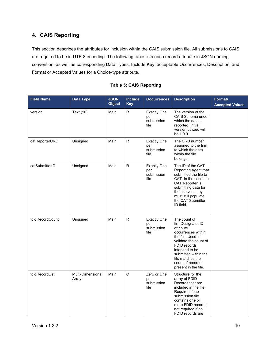# <span id="page-15-0"></span>**4. CAIS Reporting**

This section describes the attributes for inclusion within the CAIS submission file. All submissions to CAIS are required to be in UTF-8 encoding. The following table lists each record attribute in JSON naming convention, as well as corresponding Data Types, Include Key, acceptable Occurrences, Description, and Format or Accepted Values for a Choice-type attribute.

| <b>Field Name</b> | Data Type                  | <b>JSON</b><br><b>Object</b> | Include<br><b>Key</b> | <b>Occurrences</b>                              | <b>Description</b>                                                                                                                                                                                                                          | Format/<br><b>Accepted Values</b> |
|-------------------|----------------------------|------------------------------|-----------------------|-------------------------------------------------|---------------------------------------------------------------------------------------------------------------------------------------------------------------------------------------------------------------------------------------------|-----------------------------------|
| version           | Text (10)                  | Main                         | R                     | <b>Exactly One</b><br>per<br>submission<br>file | The version of the<br>CAIS Schema under<br>which the data is<br>reported. Initial<br>version utilized will<br>be 1.0.0                                                                                                                      |                                   |
| catReporterCRD    | Unsigned                   | Main                         | $\mathsf{R}$          | <b>Exactly One</b><br>per<br>submission<br>file | The CRD number<br>assigned to the firm<br>to which the data<br>within the file<br>belongs.                                                                                                                                                  |                                   |
| catSubmitterID    | Unsigned                   | Main                         | $\mathsf{R}$          | <b>Exactly One</b><br>per<br>submission<br>file | The ID of the CAT<br>Reporting Agent that<br>submitted the file to<br>CAT. In the case the<br>CAT Reporter is<br>submitting data for<br>themselves, they<br>must still populate<br>the CAT Submitter<br>ID field.                           |                                   |
| fdidRecordCount   | Unsigned                   | Main                         | R.                    | <b>Exactly One</b><br>per<br>submission<br>file | The count of<br>firmDesignatedID<br>attribute<br>occurrences within<br>the file. Used to<br>validate the count of<br>FDID records<br>intended to be<br>submitted within the<br>file matches the<br>count of records<br>present in the file. |                                   |
| fdidRecordList    | Multi-Dimensional<br>Array | Main                         | $\mathsf{C}$          | Zero or One<br>per<br>submission<br>file        | Structure for the<br>array of FDID<br>Records that are<br>included in the file.<br>Required if the<br>submission file<br>contains one or<br>more FDID records;<br>not required if no<br>FDID records are                                    |                                   |

# **Table 5: CAIS Reporting**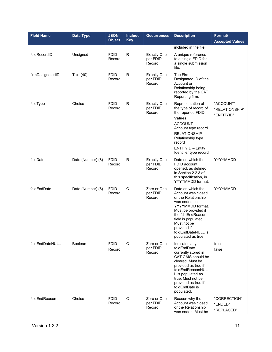| <b>Field Name</b> | <b>Data Type</b>  | <b>JSON</b><br><b>Object</b> | <b>Include</b><br><b>Key</b> | <b>Occurrences</b>                       | <b>Description</b>                                                                                                                                                                                                                               | Format/<br><b>Accepted Values</b>         |
|-------------------|-------------------|------------------------------|------------------------------|------------------------------------------|--------------------------------------------------------------------------------------------------------------------------------------------------------------------------------------------------------------------------------------------------|-------------------------------------------|
|                   |                   |                              |                              |                                          | included in the file.                                                                                                                                                                                                                            |                                           |
| fdidRecordID      | Unsigned          | <b>FDID</b><br>Record        | $\mathsf{R}$                 | <b>Exactly One</b><br>per FDID<br>Record | A unique reference<br>to a single FDID for<br>a single submission<br>file.                                                                                                                                                                       |                                           |
| firmDesignatedID  | Text (40)         | <b>FDID</b><br>Record        | $\mathsf{R}$                 | <b>Exactly One</b><br>per FDID<br>Record | The Firm<br>Designated ID of the<br>Account or<br>Relationship being<br>reported by the CAT<br>Reporting firm.                                                                                                                                   |                                           |
| fdidType          | Choice            | <b>FDID</b><br>Record        | ${\sf R}$                    | <b>Exactly One</b><br>per FDID<br>Record | Representation of<br>the type of record of<br>the reported FDID.<br>Values:<br>ACCOUNT-<br>Account type record<br>RELATIONSHIP-<br>Relationship type<br>record<br><b>ENTITYID - Entity</b><br>Identifier type record                             | "ACCOUNT"<br>"RELATIONSHIP"<br>"ENTITYID" |
| fdidDate          | Date (Number) (8) | <b>FDID</b><br>Record        | $\mathsf{R}$                 | <b>Exactly One</b><br>per FDID<br>Record | Date on which the<br>FDID account<br>opened, as defined<br>in Section 2.2.3 of<br>this specification, in<br>YYYYMMDD format.                                                                                                                     | YYYYMMDD                                  |
| fdidEndDate       | Date (Number) (8) | <b>FDID</b><br>Record        | $\mathsf C$                  | Zero or One<br>per FDID<br>Record        | Date on which the<br>Account was closed<br>or the Relationship<br>was ended, in<br>YYYYMMDD format.<br>Must be provided if<br>the fdidEndReason<br>field is populated.<br>Must not be<br>provided if<br>fdidEndDateNULL is<br>populated as true. | YYYYMMDD                                  |
| fdidEndDateNULL   | <b>Boolean</b>    | <b>FDID</b><br>Record        | $\mathbf C$                  | Zero or One<br>per FDID<br>Record        | Indicates any<br>fdidEndDate<br>currently stored in<br>CAT CAIS should be<br>cleared. Must be<br>provided as true if<br>fdidEndReasonNUL<br>L is populated as<br>true. Must not be<br>provided as true if<br>fdidEndDate is<br>populated.        | true<br>false                             |
| fdidEndReason     | Choice            | <b>FDID</b><br>Record        | $\mathsf C$                  | Zero or One<br>per FDID<br>Record        | Reason why the<br>Account was closed<br>or the Relationship<br>was ended. Must be                                                                                                                                                                | "CORRECTION"<br>"ENDED"<br>"REPLACED"     |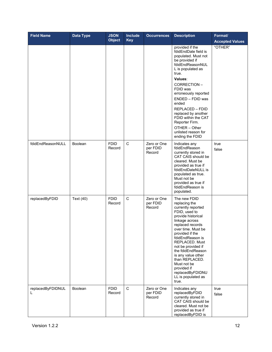| <b>Field Name</b>      | Data Type | <b>JSON</b><br><b>Object</b> | Include<br><b>Key</b> | <b>Occurrences</b>                | <b>Description</b>                                                                                                                                                                                                                                                                                                                                                                  | Format/<br><b>Accepted Values</b> |
|------------------------|-----------|------------------------------|-----------------------|-----------------------------------|-------------------------------------------------------------------------------------------------------------------------------------------------------------------------------------------------------------------------------------------------------------------------------------------------------------------------------------------------------------------------------------|-----------------------------------|
|                        |           |                              |                       |                                   | provided if the<br>fdidEndDate field is<br>populated. Must not<br>be provided if<br>fdidEndReasonNUL<br>L is populated as<br>true.<br>Values:<br>CORRECTION-<br>FDID was<br>erroneously reported<br>ENDED - FDID was<br>ended<br><b>REPLACED - FDID</b><br>replaced by another<br>FDID within the CAT<br>Reporter Firm.<br>OTHER - Other<br>unlisted reason for<br>ending the FDID  | "OTHER"                           |
| fdidEndReasonNULL      | Boolean   | <b>FDID</b><br>Record        | $\mathbf C$           | Zero or One<br>per FDID<br>Record | Indicates any<br>fdidEndReason<br>currently stored in<br>CAT CAIS should be<br>cleared. Must be<br>provided as true if<br>fdidEndDateNULL is<br>populated as true.<br>Must not be<br>provided as true if<br>fdidEndReason is<br>populated.                                                                                                                                          | true<br>false                     |
| replacedByFDID         | Text (40) | <b>FDID</b><br>Record        | $\mathsf C$           | Zero or One<br>per FDID<br>Record | The new FDID<br>replacing the<br>currently reported<br>FDID, used to<br>provide historical<br>linkage across<br>replaced records<br>over time. Must be<br>provided if the<br>fdidEndReason is<br>REPLACED. Must<br>not be provided if<br>the fdidEndReason<br>is any value other<br>than REPLACED.<br>Must not be<br>provided if<br>replacedByFDIDNU<br>LL is populated as<br>true. |                                   |
| replacedByFDIDNUL<br>L | Boolean   | <b>FDID</b><br>Record        | $\mathbf C$           | Zero or One<br>per FDID<br>Record | Indicates any<br>replacedByFDID<br>currently stored in<br>CAT CAIS should be<br>cleared. Must not be<br>provided as true if<br>replacedByFDID is                                                                                                                                                                                                                                    | true<br>false                     |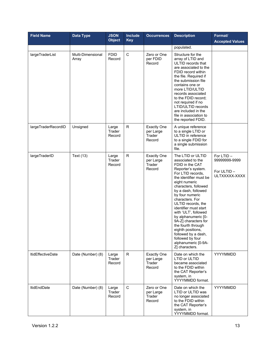| <b>Field Name</b>        | <b>Data Type</b>           | <b>JSON</b><br><b>Object</b> | Include<br><b>Key</b> | <b>Occurrences</b>                                  | <b>Description</b>                                                                                                                                                                                                                                                                                                                                                                                                                                                                        | Format/<br><b>Accepted Values</b>                           |
|--------------------------|----------------------------|------------------------------|-----------------------|-----------------------------------------------------|-------------------------------------------------------------------------------------------------------------------------------------------------------------------------------------------------------------------------------------------------------------------------------------------------------------------------------------------------------------------------------------------------------------------------------------------------------------------------------------------|-------------------------------------------------------------|
|                          |                            |                              |                       |                                                     | populated.                                                                                                                                                                                                                                                                                                                                                                                                                                                                                |                                                             |
| largeTraderList          | Multi-Dimensional<br>Array | <b>FDID</b><br>Record        | $\mathbf C$           | Zero or One<br>per FDID<br>Record                   | Structure for the<br>array of LTID and<br>ULTID records that<br>are associated to the<br>FDID record within<br>the file. Required if<br>the submission file<br>contains one or<br>more LTID/ULTID<br>records associated<br>to the FDID record;<br>not required if no<br>LTID/ULTID records<br>are included in the<br>file in association to<br>the reported FDID.                                                                                                                         |                                                             |
| largeTraderRecordID      | Unsigned                   | Large<br>Trader<br>Record    | R                     | <b>Exactly One</b><br>per Large<br>Trader<br>Record | A unique reference<br>to a single LTID or<br>ULTID in reference<br>to a single FDID for<br>a single submission<br>file.                                                                                                                                                                                                                                                                                                                                                                   |                                                             |
| largeTraderID            | Text (13)                  | Large<br>Trader<br>Record    | $\mathsf{R}$          | <b>Exactly One</b><br>per Large<br>Trader<br>Record | The LTID or ULTID<br>associated to the<br>FDID in the CAT<br>Reporter's system.<br>For LTID records.<br>the identifier must be<br>eight numeric<br>characters, followed<br>by a dash, followed<br>by four numeric<br>characters. For<br>ULTID records, the<br>identifier must start<br>with 'ULT', followed<br>by alphanumeric [0-<br>9A-Z] characters for<br>the fourth through<br>eighth positions,<br>followed by a dash,<br>followed by four<br>alphanumeric [0-9A-<br>Z] characters. | For LTID -<br>99999999-9999<br>For ULTID -<br>ULTXXXXX-XXXX |
| <b>ItidEffectiveDate</b> | Date (Number) (8)          | Large<br>Trader<br>Record    | R.                    | <b>Exactly One</b><br>per Large<br>Trader<br>Record | Date on which the<br>LTID or ULTID<br>became associated<br>to the FDID within<br>the CAT Reporter's<br>system, in<br>YYYYMMDD format.                                                                                                                                                                                                                                                                                                                                                     | YYYYMMDD                                                    |
| <b>ItidEndDate</b>       | Date (Number) (8)          | Large<br>Trader<br>Record    | $\mathsf{C}$          | Zero or One<br>per Large<br>Trader<br>Record        | Date on which the<br>LTID or ULTID was<br>no longer associated<br>to the FDID within<br>the CAT Reporter's<br>system, in<br>YYYYMMDD format.                                                                                                                                                                                                                                                                                                                                              | YYYYMMDD                                                    |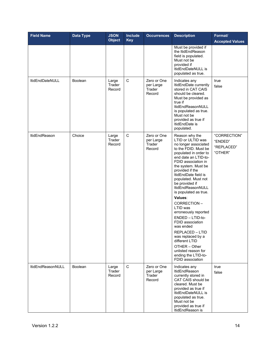| <b>Field Name</b>      | Data Type      | <b>JSON</b><br><b>Object</b> | <b>Include</b><br><b>Key</b> | <b>Occurrences</b>                           | <b>Description</b>                                                                                                                                                                                                                                                                                                                                                                                                                                                                                                                                                                   | Format/<br><b>Accepted Values</b>                |
|------------------------|----------------|------------------------------|------------------------------|----------------------------------------------|--------------------------------------------------------------------------------------------------------------------------------------------------------------------------------------------------------------------------------------------------------------------------------------------------------------------------------------------------------------------------------------------------------------------------------------------------------------------------------------------------------------------------------------------------------------------------------------|--------------------------------------------------|
|                        |                |                              |                              |                                              | Must be provided if<br>the ItidEndReason<br>field is populated.<br>Must not be<br>provided if<br>ItidEndDateNULL is<br>populated as true.                                                                                                                                                                                                                                                                                                                                                                                                                                            |                                                  |
| <b>ItidEndDateNULL</b> | <b>Boolean</b> | Large<br>Trader<br>Record    | $\mathsf C$                  | Zero or One<br>per Large<br>Trader<br>Record | Indicates any<br>ItidEndDate currently<br>stored in CAT CAIS<br>should be cleared.<br>Must be provided as<br>true if<br><b>ItidEndReasonNULL</b><br>is populated as true.<br>Must not be<br>provided as true if<br>ItidEndDate is<br>populated.                                                                                                                                                                                                                                                                                                                                      | true<br>false                                    |
| ItidEndReason          | Choice         | Large<br>Trader<br>Record    | $\mathsf C$                  | Zero or One<br>per Large<br>Trader<br>Record | Reason why the<br>LTID or ULTID was<br>no longer associated<br>to the FDID. Must be<br>populated in order to<br>end date an LTID-to-<br>FDID association in<br>the system. Must be<br>provided if the<br>ItidEndDate field is<br>populated. Must not<br>be provided if<br>ItidEndReasonNULL<br>is populated as true.<br>Values:<br>CORRECTION-<br>LTID was<br>erroneously reported<br>ENDED - LTID-to-<br>FDID association<br>was ended<br>REPLACED - LTID<br>was replaced by a<br>different LTID<br>OTHER - Other<br>unlisted reason for<br>ending the LTID-to-<br>FDID association | "CORRECTION"<br>"ENDED"<br>"REPLACED"<br>"OTHER" |
| ItidEndReasonNULL      | Boolean        | Large<br>Trader<br>Record    | $\mathbf C$                  | Zero or One<br>per Large<br>Trader<br>Record | Indicates any<br><b>ItidEndReason</b><br>currently stored in<br>CAT CAIS should be<br>cleared. Must be<br>provided as true if<br>ItidEndDateNULL is<br>populated as true.<br>Must not be<br>provided as true if<br>ItidEndReason is                                                                                                                                                                                                                                                                                                                                                  | true<br>false                                    |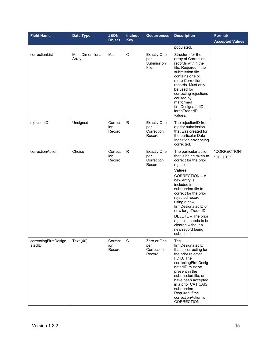| <b>Field Name</b>              | <b>Data Type</b>           | <b>JSON</b><br><b>Object</b> | <b>Include</b><br><b>Key</b> | <b>Occurrences</b>                                | <b>Description</b>                                                                                                                                                                                                                                                                                                                                                                         | Format/<br><b>Accepted Values</b> |
|--------------------------------|----------------------------|------------------------------|------------------------------|---------------------------------------------------|--------------------------------------------------------------------------------------------------------------------------------------------------------------------------------------------------------------------------------------------------------------------------------------------------------------------------------------------------------------------------------------------|-----------------------------------|
|                                |                            |                              |                              |                                                   | populated.                                                                                                                                                                                                                                                                                                                                                                                 |                                   |
| correctionList                 | Multi-Dimensional<br>Array | Main                         | $\mathsf C$                  | <b>Exactly One</b><br>per<br>Submission<br>File   | Structure for the<br>array of Correction<br>records within the<br>file. Required if the<br>submission file<br>contains one or<br>more Correction<br>records. Must only<br>be used for<br>correcting rejections<br>caused by<br>malformed<br>firmDesignatedID or<br>largeTraderID<br>values.                                                                                                |                                   |
| rejectionID                    | Unsigned                   | Correct<br>ion<br>Record     | $\mathsf{R}$                 | <b>Exactly One</b><br>per<br>Correction<br>Record | The rejectionID from<br>a prior submission<br>that was created for<br>the particular Data<br>Ingestion error being<br>corrected.                                                                                                                                                                                                                                                           |                                   |
| correctionAction               | Choice                     | Correct<br>ion<br>Record     | ${\sf R}$                    | <b>Exactly One</b><br>per<br>Correction<br>Record | The particular action<br>that is being taken to<br>correct for the prior<br>rejection.<br>Values:<br>CORRECTION - A<br>new entry is<br>included in the<br>submission file to<br>correct for the prior<br>rejected record<br>using a new<br>firmDesignatedID or<br>new largeTraderID.<br>DELETE - The prior<br>rejection needs to be<br>cleared without a<br>new record being<br>submitted. | "CORRECTION"<br>"DELETE"          |
| correctingFirmDesign<br>atedID | Text (40)                  | Correct<br>ion<br>Record     | $\mathsf C$                  | Zero or One<br>per<br>Correction<br>Record        | The<br>firmDesignatedID<br>that is correcting for<br>the prior rejected<br>FDID. The<br>correctingFirmDesig<br>natedID must be<br>present in the<br>submission file, or<br>have been accepted<br>in a prior CAT CAIS<br>submission.<br>Required if the<br>correctionAction is<br>CORRECTION.                                                                                               |                                   |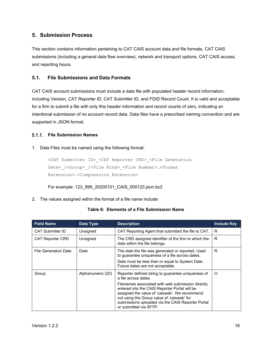# <span id="page-21-0"></span>**5. Submission Process**

This section contains information pertaining to CAT CAIS account data and file formats, CAT CAIS submissions (including a general data flow overview), network and transport options, CAT CAIS access, and reporting hours.

# <span id="page-21-1"></span>**5.1. File Submissions and Data Formats**

CAT CAIS account submissions must include a data file with populated header record information, including Version, CAT Reporter ID, CAT Submitter ID, and FDID Record Count. It is valid and acceptable for a firm to submit a file with only this header information and record counts of zero, indicating an intentional submission of no account record data. Data files have a prescribed naming convention and are supported in JSON format.

# <span id="page-21-2"></span>**File Submission Names**

# 1. Data Files must be named using the following format:

```
<CAT Submitter ID>_<CAT Reporter CRD>_<File Generation 
Date> [<Group> ]<File Kind> <File Number>.<Format
Extension>.<Compression Extension>
```
For example: 123\_999\_20200101\_CAIS\_000123.json.bz2

2. The values assigned within the format of a file name include:

# **Table 6: Elements of a File Submission Name**

| <b>Field Name</b>           | Data Type         | <b>Description</b>                                                                                                                                                                                                                                                                                                                                             | <b>Include Key</b> |
|-----------------------------|-------------------|----------------------------------------------------------------------------------------------------------------------------------------------------------------------------------------------------------------------------------------------------------------------------------------------------------------------------------------------------------------|--------------------|
| <b>CAT Submitter ID</b>     | Unsigned          | CAT Reporting Agent that submitted the file to CAT.                                                                                                                                                                                                                                                                                                            | R                  |
| <b>CAT Reporter CRD</b>     | Unsigned          | The CRD assigned identifier of the firm to which the<br>data within the file belongs.                                                                                                                                                                                                                                                                          | R                  |
| <b>File Generation Date</b> | Date              | The date the file was generated or reported. Used<br>to guarantee uniqueness of a file across dates.<br>Date must be less than or equal to System Date.<br>Future dates are not acceptable.                                                                                                                                                                    | R                  |
| Group                       | Alphanumeric (20) | Reporter defined string to guarantee uniqueness of<br>a file across dates.<br>Filenames associated with web submission directly<br>entered into the CAIS Reporter Portal will be<br>assigned the value of 'caisweb'. We recommend<br>not using the Group value of 'caisweb' for<br>submissions uploaded via the CAIS Reporter Portal<br>or submitted via SFTP. | O                  |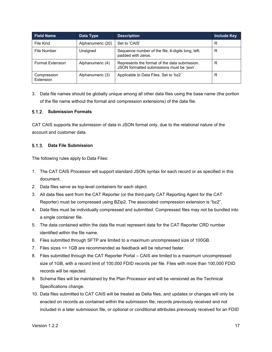| <b>Field Name</b>        | Data Type         | <b>Description</b>                                                                          | <b>Include Key</b> |
|--------------------------|-------------------|---------------------------------------------------------------------------------------------|--------------------|
| File Kind                | Alphanumeric (20) | Set to 'CAIS'                                                                               | R                  |
| File Number              | Unsigned          | Sequence number of the file, 6-digits long, left-<br>padded with zeros.                     | R                  |
| <b>Format Extension</b>  | Alphanumeric (4)  | Represents the format of the data submission.<br>JSON formatted submissions must be 'json'. | R                  |
| Compression<br>Extension | Alphanumeric (3)  | Applicable to Data Files. Set to 'bz2'                                                      | R                  |

3. Data file names should be globally unique among all other data files using the base name (the portion of the file name without the format and compression extensions) of the data file.

# <span id="page-22-0"></span>**Submission Formats**

CAT CAIS supports the submission of data in JSON format only, due to the relational nature of the account and customer data.

#### <span id="page-22-1"></span>**Data File Submission**

The following rules apply to Data Files:

- 1. The CAT CAIS Processor will support standard JSON syntax for each record or as specified in this document.
- 2. Data files serve as top-level containers for each object.
- 3. All data files sent from the CAT Reporter (or the third-party CAT Reporting Agent for the CAT Reporter) must be compressed using BZip2. The associated compression extension is "bz2".
- 4. Data files must be individually compressed and submitted. Compressed files may not be bundled into a single container file.
- 5. The data contained within the data file must represent data for the CAT Reporter CRD number identified within the file name.
- 6. Files submitted through SFTP are limited to a maximum uncompressed size of 100GB.
- 7. Files sizes <= 1GB are recommended as feedback will be returned faster.
- 8. Files submitted through the CAT Reporter Portal CAIS are limited to a maximum uncompressed size of 1GB, with a record limit of 100,000 FDID records per file. Files with more than 100,000 FDID records will be rejected.
- 9. Schema files will be maintained by the Plan Processor and will be versioned as the Technical Specifications change.
- 10. Data files submitted to CAT CAIS will be treated as Delta files, and updates or changes will only be enacted on records as contained within the submission file; records previously received and not included in a later submission file, or optional or conditional attributes previously received for an FDID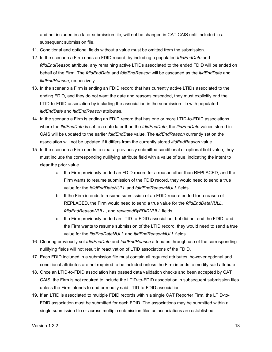and not included in a later submission file, will not be changed in CAT CAIS until included in a subsequent submission file.

- 11. Conditional and optional fields without a value must be omitted from the submission.
- 12. In the scenario a Firm ends an FDID record, by including a populated *fdidEndDate* and *fdidEndReason* attribute, any remaining active LTIDs associated to the ended FDID will be ended on behalf of the Firm. The *fdidEndDate* and *fdidEndReason* will be cascaded as the *ltidEndDate* and *ltidEndReason*, respectively.
- 13. In the scenario a Firm is ending an FDID record that has currently active LTIDs associated to the ending FDID, and they do not want the date and reasons cascaded, they must explicitly end the LTID-to-FDID association by including the association in the submission file with populated *ltidEndDate* and *ltidEndReason* attributes.
- 14. In the scenario a Firm is ending an FDID record that has one or more LTID-to-FDID associations where the *ltidEndDate* is set to a date later than the *fdidEndDate*, the *ltidEndDate* values stored in CAIS will be updated to the earlier *fdidEndDate* value. The *ltidEndReason* currently set on the association will not be updated if it differs from the currently stored *ltidEndReason* value.
- 15. In the scenario a Firm needs to clear a previously submitted conditional or optional field value, they must include the corresponding nullifying attribute field with a value of true, indicating the intent to clear the prior value.
	- a. If a Firm previously ended an FDID record for a reason other than REPLACED, and the Firm wants to resume submission of the FDID record, they would need to send a true value for the *fdidEndDateNULL* and *fdidEndReasonNULL* fields.
	- b. If the Firm intends to resume submission of an FDID record ended for a reason of REPLACED, the Firm would need to send a true value for the *fdidEndDateNULL*, *fdidEndReasonNULL*, and *replacedByFDIDNULL* fields.
	- c. If a Firm previously ended an LTID-to-FDID association, but did not end the FDID, and the Firm wants to resume submission of the LTID record, they would need to send a true value for the *ltidEndDateNULL* and *ltidEndReasonNULL* fields.
- 16. Clearing previously set *fdidEndDate* and *fdidEndReason* attributes through use of the corresponding nullifying fields will not result in reactivation of LTID associations of the FDID.
- 17. Each FDID included in a submission file must contain all required attributes, however optional and conditional attributes are not required to be included unless the Firm intends to modify said attribute.
- 18. Once an LTID-to-FDID association has passed data validation checks and been accepted by CAT CAIS, the Firm is not required to include the LTID-to-FDID association in subsequent submission files unless the Firm intends to end or modify said LTID-to-FDID association.
- 19. If an LTID is associated to multiple FDID records within a single CAT Reporter Firm, the LTID-to-FDID association must be submitted for each FDID. The associations may be submitted within a single submission file or across multiple submission files as associations are established.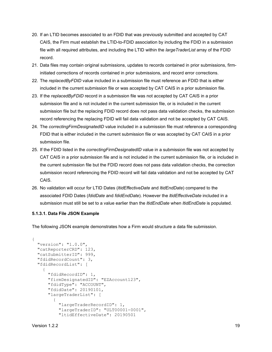- 20. If an LTID becomes associated to an FDID that was previously submitted and accepted by CAT CAIS, the Firm must establish the LTID-to-FDID association by including the FDID in a submission file with all required attributes, and including the LTID within the *largeTraderList* array of the FDID record.
- 21. Data files may contain original submissions, updates to records contained in prior submissions, firminitiated corrections of records contained in prior submissions, and record error corrections.
- 22. The *replacedByFDID* value included in a submission file must reference an FDID that is either included in the current submission file or was accepted by CAT CAIS in a prior submission file.
- 23. If the *replacedByFDID* record in a submission file was not accepted by CAT CAIS in a prior submission file and is not included in the current submission file, or is included in the current submission file but the replacing FDID record does not pass data validation checks, the submission record referencing the replacing FDID will fail data validation and not be accepted by CAT CAIS.
- 24. The *correctingFirmDesignatedID* value included in a submission file must reference a corresponding FDID that is either included in the current submission file or was accepted by CAT CAIS in a prior submission file.
- 25. If the FDID listed in the *correctingFirmDesignatedID* value in a submission file was not accepted by CAT CAIS in a prior submission file and is not included in the current submission file, or is included in the current submission file but the FDID record does not pass data validation checks, the correction submission record referencing the FDID record will fail data validation and not be accepted by CAT CAIS.
- 26. No validation will occur for LTID Dates (*ltidEffectiveDate* and *ltidEndDate*) compared to the associated FDID Dates (*fdidDate* and *fdidEndDate*). However the *ltidEffectiveDate* included in a submission must still be set to a value earlier than the *ltidEndDate* when *ltidEndDate* is populated.

# **5.1.3.1. Data File JSON Example**

The following JSON example demonstrates how a Firm would structure a data file submission.

```
{
   "version": "1.0.0",
   "catReporterCRD": 123,
   "catSubmitterID": 999,
   "fdidRecordCount": 3,
   "fdidRecordList": [
\left\{\begin{array}{c} \end{array}\right\} "fdidRecordID": 1, 
       "firmDesignatedID": "EZAccount123",
       "fdidType": "ACCOUNT",
       "fdidDate": 20190101,
       "largeTraderList": [
\{ "largeTraderRecordID": 1,
            "largeTraderID": "ULT00001-0001",
            "ltidEffectiveDate": 20190501
```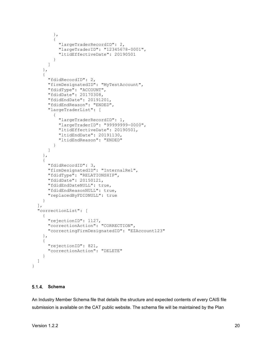```
 },
\{ "largeTraderRecordID": 2,
           "largeTraderID": "12345678-0001",
           "ltidEffectiveDate": 20190501
 }
      ]
     },
     {
      "fdidRecordID": 2,
      "firmDesignatedID": "MyTestAccount",
      "fdidType": "ACCOUNT",
      "fdidDate": 20170308,
      "fdidEndDate": 20191201,
       "fdidEndReason": "ENDED",
       "largeTraderList": [
\{ "largeTraderRecordID": 1,
           "largeTraderID": "99999999-0000",
           "ltidEffectiveDate": 20190501,
           "ltidEndDate": 20191130,
           "ltidEndReason": "ENDED"
 }
       ]
     },
     {
      "fdidRecordID": 3,
      "firmDesignatedID": "InternalRel",
      "fdidType": "RELATIONSHIP",
       "fdidDate": 20150121,
       "fdidEndDateNULL": true,
       "fdidEndReasonNULL": true,
       "replacedByFDIDNULL": true
     }
  ],
   "correctionList": [
     {
       "rejectionID": 1127,
       "correctionAction": "CORRECTION",
       "correctingFirmDesignatedID": "EZAccount123"
    },
     {
       "rejectionID": 821,
       "correctionAction": "DELETE"
     }
  ]
```
#### <span id="page-25-0"></span>**Schema**

}

An Industry Member Schema file that details the structure and expected contents of every CAIS file submission is available on the CAT public website. The schema file will be maintained by the Plan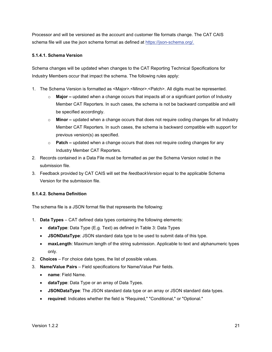Processor and will be versioned as the account and customer file formats change. The CAT CAIS schema file will use the json schema format as defined at [https://json-schema.org/.](https://json-schema.org/)

# **5.1.4.1. Schema Version**

Schema changes will be updated when changes to the CAT Reporting Technical Specifications for Industry Members occur that impact the schema. The following rules apply:

- 1. The Schema Version is formatted as <Major>.<Minor>.<Patch>. All digits must be represented.
	- o **Major –** updated when a change occurs that impacts all or a significant portion of Industry Member CAT Reporters. In such cases, the schema is not be backward compatible and will be specified accordingly.
	- o **Minor –** updated when a change occurs that does not require coding changes for all Industry Member CAT Reporters. In such cases, the schema is backward compatible with support for previous version(s) as specified.
	- o **Patch –** updated when a change occurs that does not require coding changes for any Industry Member CAT Reporters.
- 2. Records contained in a Data File must be formatted as per the Schema Version noted in the submission file.
- 3. Feedback provided by CAT CAIS will set the *feedbackVersion* equal to the applicable Schema Version for the submission file.

# **5.1.4.2. Schema Definition**

The schema file is a JSON format file that represents the following:

- 1. **Data Types** CAT defined data types containing the following elements:
	- **dataType**: Data Type (E.g. Text) as defined in Table 3: Data Types
	- **JSONDataType**: JSON standard data type to be used to submit data of this type.
	- **maxLength**: Maximum length of the string submission. Applicable to text and alphanumeric types only.
- 2. **Choices** For choice data types, the list of possible values.
- 3. **Name/Value Pairs**  Field specifications for Name/Value Pair fields.
	- **name**: Field Name.
	- **dataType**: Data Type or an array of Data Types.
	- **JSONDataType**: The JSON standard data type or an array or JSON standard data types.
	- **required**: Indicates whether the field is "Required," "Conditional," or "Optional."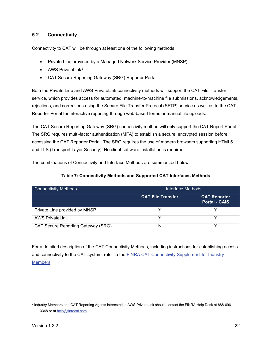# <span id="page-27-0"></span>**5.2. Connectivity**

Connectivity to CAT will be through at least one of the following methods:

- Private Line provided by a Managed Network Service Provider (MNSP)
- AWS PrivateLink<sup>[2](#page-27-1)</sup>
- CAT Secure Reporting Gateway (SRG) Reporter Portal

Both the Private Line and AWS PrivateLink connectivity methods will support the CAT File Transfer service, which provides access for automated, machine-to-machine file submissions, acknowledgements, rejections, and corrections using the Secure File Transfer Protocol (SFTP) service as well as to the CAT Reporter Portal for interactive reporting through web-based forms or manual file uploads.

The CAT Secure Reporting Gateway (SRG) connectivity method will only support the CAT Report Portal. The SRG requires multi-factor authentication (MFA) to establish a secure, encrypted session before accessing the CAT Reporter Portal. The SRG requires the use of modern browsers supporting HTML5 and TLS (Transport Layer Security). No client software installation is required.

The combinations of Connectivity and Interface Methods are summarized below.

# **Table 7: Connectivity Methods and Supported CAT Interfaces Methods**

| <b>Connectivity Methods</b>        | Interface Methods        |                                             |  |
|------------------------------------|--------------------------|---------------------------------------------|--|
|                                    | <b>CAT File Transfer</b> | <b>CAT Reporter</b><br><b>Portal - CAIS</b> |  |
| Private Line provided by MNSP      |                          |                                             |  |
| <b>AWS PrivateLink</b>             |                          |                                             |  |
| CAT Secure Reporting Gateway (SRG) | N                        |                                             |  |

For a detailed description of the CAT Connectivity Methods, including instructions for establishing access and connectivity to the CAT system, refer to the [FINRA CAT Connectivity Supplement for Industry](https://www.catnmsplan.com/transaction-registration)  [Members.](https://www.catnmsplan.com/transaction-registration)

<span id="page-27-1"></span><sup>2</sup> Industry Members and CAT Reporting Agents interested in AWS PrivateLink should contact the FINRA Help Desk at 888-696 3348 or a[t help@finracat.com.](mailto:help@finracat.com)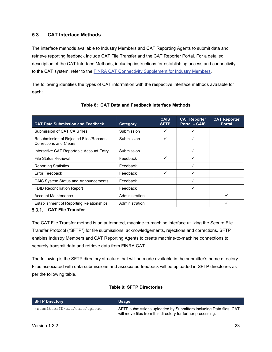# <span id="page-28-0"></span>**5.3. CAT Interface Methods**

The interface methods available to Industry Members and CAT Reporting Agents to submit data and retrieve reporting feedback include CAT File Transfer and the CAT Reporter Portal. For a detailed description of the CAT Interface Methods, including instructions for establishing access and connectivity to the CAT system, refer to the [FINRA CAT Connectivity Supplement for Industry Members.](https://www.catnmsplan.com/transaction-registration)

The following identifies the types of CAT information with the respective interface methods available for each:

<span id="page-28-2"></span>

| <b>CAT Data Submission and Feedback</b>                                  | Category       | <b>CAIS</b><br><b>SFTP</b> | <b>CAT Reporter</b><br><b>Portal - CAIS</b> | <b>CAT Reporter</b><br><b>Portal</b> |
|--------------------------------------------------------------------------|----------------|----------------------------|---------------------------------------------|--------------------------------------|
| Submission of CAT CAIS files                                             | Submission     | ✓                          | ✓                                           |                                      |
| Resubmission of Rejected Files/Records,<br><b>Corrections and Clears</b> | Submission     | ✓                          | ✓                                           |                                      |
| Interactive CAT Reportable Account Entry                                 | Submission     |                            | ✓                                           |                                      |
| <b>File Status Retrieval</b>                                             | Feedback       | ✓                          | ✓                                           |                                      |
| <b>Reporting Statistics</b>                                              | Feedback       |                            | ✓                                           |                                      |
| Error Feedback                                                           | Feedback       | ✓                          | ✓                                           |                                      |
| <b>CAIS System Status and Announcements</b>                              | Feedback       |                            | ✓                                           |                                      |
| <b>FDID Reconciliation Report</b>                                        | Feedback       |                            | ✓                                           |                                      |
| <b>Account Maintenance</b>                                               | Administration |                            |                                             |                                      |
| <b>Establishment of Reporting Relationships</b>                          | Administration |                            |                                             |                                      |

# **Table 8: CAT Data and Feedback Interface Methods**

# <span id="page-28-1"></span>**CAT File Transfer**

The CAT File Transfer method is an automated, machine-to-machine interface utilizing the Secure File Transfer Protocol ("SFTP") for file submissions, acknowledgements, rejections and corrections. SFTP enables Industry Members and CAT Reporting Agents to create machine-to-machine connections to securely transmit data and retrieve data from FINRA CAT.

The following is the SFTP directory structure that will be made available in the submitter's home directory. Files associated with data submissions and associated feedback will be uploaded in SFTP directories as per the following table.

# **Table 9: SFTP Directories**

| <b>SFTP Directory</b>        | Usage                                                                                                                            |
|------------------------------|----------------------------------------------------------------------------------------------------------------------------------|
| /submitterID/cat/cais/upload | SFTP submissions uploaded by Submitters including Data files. CAT<br>will move files from this directory for further processing. |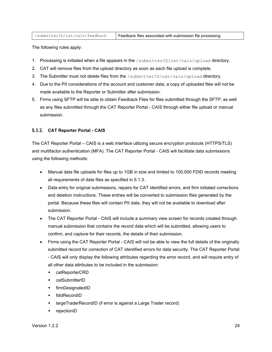| /submitterID/cat/cais/feedback | Feedback files associated with submission file processing. |
|--------------------------------|------------------------------------------------------------|
|--------------------------------|------------------------------------------------------------|

The following rules apply:

- 1. Processing is initiated when a file appears in the /submitterID/cat/cais/upload directory.
- 2. CAT will remove files from the upload directory as soon as each file upload is complete.
- 3. The Submitter must not delete files from the /submitterID/cat/cais/upload directory.
- 4. Due to the PII considerations of the account and customer data, a copy of uploaded files will not be made available to the Reporter or Submitter after submission.
- 5. Firms using SFTP will be able to obtain Feedback Files for files submitted through the SFTP, as well as any files submitted through the CAT Reporter Portal - CAIS through either file upload or manual submission.

# <span id="page-29-0"></span>**CAT Reporter Portal - CAIS**

The CAT Reporter Portal – CAIS is a web interface utilizing secure encryption protocols (HTTPS/TLS) and multifactor authentication (MFA). The CAT Reporter Portal - CAIS will facilitate data submissions using the following methods:

- Manual data file uploads for files up to 1GB in size and limited to 100,000 FDID records meeting all requirements of data files as specified in [5.1.3.](#page-22-1)
- Data entry for original submissions, repairs for CAT identified errors, and firm initiated corrections and deletion instructions. These entries will be converted to submission files generated by the portal. Because these files will contain PII data, they will not be available to download after submission.
- The CAT Reporter Portal CAIS will include a summary view screen for records created through manual submission that contains the record data which will be submitted, allowing users to confirm, and capture for their records, the details of their submission.
- Firms using the CAT Reporter Portal CAIS will not be able to view the full details of the originally submitted record for correction of CAT identified errors for data security. The CAT Reporter Portal - CAIS will only display the following attributes regarding the error record, and will require entry of all other data attributes to be included in the submission:
	- catReporterCRD
	- catSubmitterID
	- **+** firmDesignatedID
	- fdidRecordID
	- largeTraderRecordID (if error is against a Large Trader record)
	- rejectionID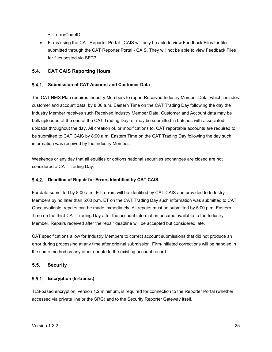- ◆ errorCodeID
- Firms using the CAT Reporter Portal CAIS will only be able to view Feedback Files for files submitted through the CAT Reporter Portal - CAIS. They will not be able to view Feedback Files for files posted via SFTP.

# <span id="page-30-0"></span>**5.4. CAT CAIS Reporting Hours**

# <span id="page-30-1"></span>**Submission of CAT Account and Customer Data**

The CAT NMS Plan requires Industry Members to report Received Industry Member Data, which includes customer and account data, by 8:00 a.m. Eastern Time on the CAT Trading Day following the day the Industry Member receives such Received Industry Member Data. Customer and Account data may be bulk uploaded at the end of the CAT Trading Day, or may be submitted in batches with associated uploads throughout the day. All creation of, or modifications to, CAT reportable accounts are required to be submitted to CAT CAIS by 8:00 a.m. Eastern Time on the CAT Trading Day following the day such information was received by the Industry Member.

Weekends or any day that all equities or options national securities exchanges are closed are not considered a CAT Trading Day.

# <span id="page-30-2"></span>**Deadline of Repair for Errors Identified by CAT CAIS**

For data submitted by 8:00 a.m. ET, errors will be identified by CAT CAIS and provided to Industry Members by no later than 5:00 p.m. ET on the CAT Trading Day such information was submitted to CAT. Once available, repairs can be made immediately. All repairs must be submitted by 5:00 p.m. Eastern Time on the third CAT Trading Day after the account information became available to the Industry Member. Repairs received after the repair deadline will be accepted but considered late.

CAT specifications allow for Industry Members to correct account submissions that did not produce an error during processing at any time after original submission. Firm-initiated corrections will be handled in the same method as any other update to the existing account record.

# <span id="page-30-3"></span>**5.5. Security**

# <span id="page-30-4"></span>**Encryption (In-transit)**

TLS-based encryption, version 1.2 minimum, is required for connection to the Reporter Portal (whether accessed via private line or the SRG) and to the Security Reporter Gateway itself.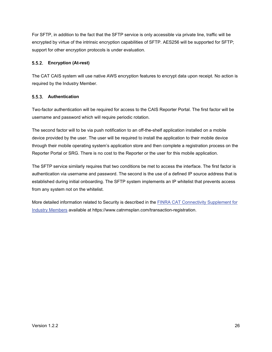For SFTP, in addition to the fact that the SFTP service is only accessible via private line, traffic will be encrypted by virtue of the intrinsic encryption capabilities of SFTP. AES256 will be supported for SFTP; support for other encryption protocols is under evaluation.

# <span id="page-31-0"></span>**Encryption (At-rest)**

The CAT CAIS system will use native AWS encryption features to encrypt data upon receipt. No action is required by the Industry Member.

# <span id="page-31-1"></span>**Authentication**

Two-factor authentication will be required for access to the CAIS Reporter Portal. The first factor will be username and password which will require periodic rotation.

The second factor will to be via push notification to an off-the-shelf application installed on a mobile device provided by the user. The user will be required to install the application to their mobile device through their mobile operating system's application store and then complete a registration process on the Reporter Portal or SRG. There is no cost to the Reporter or the user for this mobile application.

The SFTP service similarly requires that two conditions be met to access the interface. The first factor is authentication via username and password. The second is the use of a defined IP source address that is established during initial onboarding. The SFTP system implements an IP whitelist that prevents access from any system not on the whitelist.

More detailed information related to Security is described in the **FINRA CAT Connectivity Supplement for** [Industry Members](https://www.catnmsplan.com/transaction-registration) available at https://www.catnmsplan.com/transaction-registration.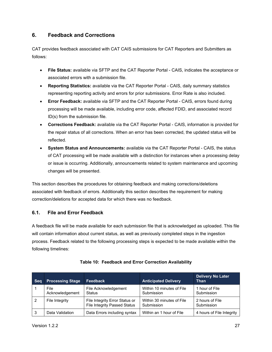# <span id="page-32-0"></span>**6. Feedback and Corrections**

CAT provides feedback associated with CAT CAIS submissions for CAT Reporters and Submitters as follows:

- **File Status:** available via SFTP and the CAT Reporter Portal CAIS, indicates the acceptance or associated errors with a submission file.
- **Reporting Statistics:** available via the CAT Reporter Portal CAIS, daily summary statistics representing reporting activity and errors for prior submissions. Error Rate is also included.
- **Error Feedback:** available via SFTP and the CAT Reporter Portal CAIS, errors found during processing will be made available, including error code, affected FDID, and associated record ID(s) from the submission file.
- **Corrections Feedback:** available via the CAT Reporter Portal CAIS, information is provided for the repair status of all corrections. When an error has been corrected, the updated status will be reflected.
- **System Status and Announcements:** available via the CAT Reporter Portal CAIS, the status of CAT processing will be made available with a distinction for instances when a processing delay or issue is occurring. Additionally, announcements related to system maintenance and upcoming changes will be presented.

This section describes the procedures for obtaining feedback and making corrections/deletions associated with feedback of errors. Additionally this section describes the requirement for making correction/deletions for accepted data for which there was no feedback.

# <span id="page-32-1"></span>**6.1. File and Error Feedback**

A feedback file will be made available for each submission file that is acknowledged as uploaded. This file will contain information about current status, as well as previously completed steps in the ingestion process. Feedback related to the following processing steps is expected to be made available within the following timelines:

| <b>Seg</b> | <b>Processing Stage</b> | <b>Feedback</b>                                                       | <b>Anticipated Delivery</b>             | <b>Delivery No Later</b><br>Than |
|------------|-------------------------|-----------------------------------------------------------------------|-----------------------------------------|----------------------------------|
|            | File<br>Acknowledgement | File Acknowledgement<br>Status                                        | Within 10 minutes of File<br>Submission | 1 hour of File<br>Submission     |
| -2         | File Integrity          | File Integrity Error Status or<br><b>File Integrity Passed Status</b> | Within 30 minutes of File<br>Submission | 2 hours of File<br>Submission    |
| -3         | Data Validation         | Data Errors including syntax                                          | Within an 1 hour of File                | 4 hours of File Integrity        |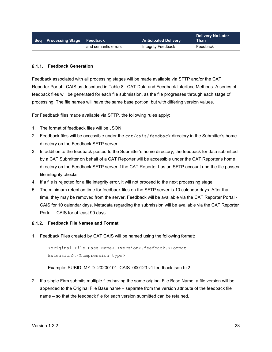| Seq Processing Stage Feedback |                     | <b>Anticipated Delivery</b> | <b>Delivery No Later</b><br><b>Than</b> |
|-------------------------------|---------------------|-----------------------------|-----------------------------------------|
|                               | and semantic errors | Integrity Feedback          | Feedback                                |

#### <span id="page-33-0"></span>**Feedback Generation**

Feedback associated with all processing stages will be made available via SFTP and/or the CAT Reporter Portal - CAIS as described in [Table 8: CAT Data and Feedback Interface](#page-28-2) Methods. A series of feedback files will be generated for each file submission, as the file progresses through each stage of processing. The file names will have the same base portion, but with differing version values.

For Feedback files made available via SFTP, the following rules apply:

- 1. The format of feedback files will be JSON.
- 2. Feedback files will be accessible under the cat/cais/feedback directory in the Submitter's home directory on the Feedback SFTP server.
- 3. In addition to the feedback posted to the Submitter's home directory, the feedback for data submitted by a CAT Submitter on behalf of a CAT Reporter will be accessible under the CAT Reporter's home directory on the Feedback SFTP server if the CAT Reporter has an SFTP account and the file passes file integrity checks.
- 4. If a file is rejected for a file integrity error, it will not proceed to the next processing stage.
- 5. The minimum retention time for feedback files on the SFTP server is 10 calendar days. After that time, they may be removed from the server. Feedback will be available via the CAT Reporter Portal - CAIS for 10 calendar days. Metadata regarding the submission will be available via the CAT Reporter Portal – CAIS for at least 90 days.

#### <span id="page-33-1"></span>**Feedback File Names and Format**

1. Feedback Files created by CAT CAIS will be named using the following format:

<original File Base Name>.<version>.feedback.<Format Extension>.<Compression type>

Example: SUBID\_MYID\_20200101\_CAIS\_000123.v1.feedback.json.bz2

2. If a single Firm submits multiple files having the same original File Base Name, a file version will be appended to the Original File Base name – separate from the version attribute of the feedback file name – so that the feedback file for each version submitted can be retained.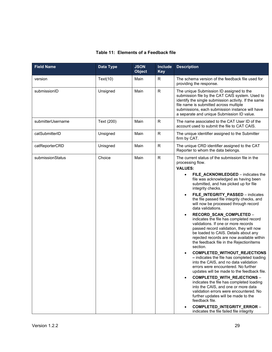| <b>Field Name</b> | Data Type  | <b>JSON</b><br><b>Object</b> | <b>Include</b><br><b>Key</b> | <b>Description</b>                                                                                                                                                                                                                                                                                                                                                                                                                                                                                                                                                                                                                                                                                                                                                                                                                                                                                                                                                                                                                                                                                                                                                                                             |
|-------------------|------------|------------------------------|------------------------------|----------------------------------------------------------------------------------------------------------------------------------------------------------------------------------------------------------------------------------------------------------------------------------------------------------------------------------------------------------------------------------------------------------------------------------------------------------------------------------------------------------------------------------------------------------------------------------------------------------------------------------------------------------------------------------------------------------------------------------------------------------------------------------------------------------------------------------------------------------------------------------------------------------------------------------------------------------------------------------------------------------------------------------------------------------------------------------------------------------------------------------------------------------------------------------------------------------------|
| version           | Text(10)   | Main                         | R                            | The schema version of the feedback file used for<br>providing the response.                                                                                                                                                                                                                                                                                                                                                                                                                                                                                                                                                                                                                                                                                                                                                                                                                                                                                                                                                                                                                                                                                                                                    |
| submissionID      | Unsigned   | Main                         | ${\sf R}$                    | The unique Submission ID assigned to the<br>submission file by the CAT CAIS system. Used to<br>identify the single submission activity. If the same<br>file name is submitted across multiple<br>submissions, each submission instance will have<br>a separate and unique Submission ID value.                                                                                                                                                                                                                                                                                                                                                                                                                                                                                                                                                                                                                                                                                                                                                                                                                                                                                                                 |
| submitterUsername | Text (200) | Main                         | R                            | The name associated to the CAT User ID of the<br>account used to submit the file to CAT CAIS.                                                                                                                                                                                                                                                                                                                                                                                                                                                                                                                                                                                                                                                                                                                                                                                                                                                                                                                                                                                                                                                                                                                  |
| catSubmitterID    | Unsigned   | Main                         | $\mathsf{R}$                 | The unique identifier assigned to the Submitter<br>firm by CAT.                                                                                                                                                                                                                                                                                                                                                                                                                                                                                                                                                                                                                                                                                                                                                                                                                                                                                                                                                                                                                                                                                                                                                |
| catReporterCRD    | Unisgned   | Main                         | ${\sf R}$                    | The unique CRD identifier assigned to the CAT<br>Reporter to whom the data belongs.                                                                                                                                                                                                                                                                                                                                                                                                                                                                                                                                                                                                                                                                                                                                                                                                                                                                                                                                                                                                                                                                                                                            |
| submissionStatus  | Choice     | Main                         | ${\sf R}$                    | The current status of the submission file in the<br>processing flow.<br><b>VALUES:</b><br>FILE_ACKNOWLEDGED - indicates the<br>file was acknowledged as having been<br>submitted, and has picked up for file<br>integrity checks.<br>FILE_INTEGRITY_PASSED - indicates<br>the file passed file integrity checks, and<br>will now be processed through record<br>data validations.<br>RECORD_SCAN_COMPLETED -<br>$\bullet$<br>indicates the file has completed record<br>validations. If one or more records<br>passed record validation, they will now<br>be loaded to CAIS. Details about any<br>rejected records are now available within<br>the feedback file in the RejectionItems<br>section.<br>COMPLETED_WITHOUT_REJECTIONS<br>- indicates the file has completed loading<br>into the CAIS, and no data validation<br>errors were encountered. No further<br>updates will be made to the feedback file.<br>COMPLETED_WITH_REJECTIONS -<br>indicates the file has completed loading<br>into the CAIS, and one or more data<br>validation errors were encountered. No<br>further updates will be made to the<br>feedback file.<br>COMPLETED_INTEGRITY_ERROR -<br>indicates the file failed file integrity |

# **Table 11: Elements of a Feedback file**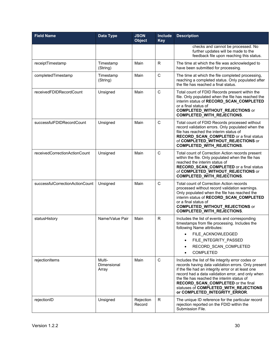| <b>Field Name</b>               | <b>Data Type</b>               | <b>JSON</b><br><b>Object</b> | <b>Include</b><br><b>Key</b> | <b>Description</b>                                                                                                                                                                                                                                                                                                                                                                 |
|---------------------------------|--------------------------------|------------------------------|------------------------------|------------------------------------------------------------------------------------------------------------------------------------------------------------------------------------------------------------------------------------------------------------------------------------------------------------------------------------------------------------------------------------|
|                                 |                                |                              |                              | checks and cannot be processed. No<br>further updates will be made to the<br>feedback file upon reaching this status.                                                                                                                                                                                                                                                              |
| receiptTimestamp                | Timestamp<br>(String)          | Main                         | R                            | The time at which the file was acknowledged to<br>have been submitted for processing.                                                                                                                                                                                                                                                                                              |
| completedTimestamp              | Timestamp<br>(String)          | Main                         | $\mathsf{C}$                 | The time at which the file completed processing,<br>reaching a completed status. Only populated after<br>the file has reached a final status.                                                                                                                                                                                                                                      |
| receivedFDIDRecordCount         | Unsigned                       | Main                         | C                            | Total count of FDID Records present within the<br>file. Only populated when the file has reached the<br>interim status of RECORD_SCAN_COMPLETED<br>or a final status of<br><b>COMPLETED_WITHOUT_REJECTIONS</b> or<br><b>COMPLETED_WITH_REJECTIONS.</b>                                                                                                                             |
| successfulFDIDRecordCount       | Unsigned                       | Main                         | $\mathsf{C}$                 | Total count of FDID Records processed without<br>record validation errors. Only populated when the<br>file has reached the interim status of<br><b>RECORD SCAN COMPLETED or a final status</b><br>of COMPLETED_WITHOUT_REJECTIONS or<br><b>COMPLETED_WITH_REJECTIONS.</b>                                                                                                          |
| receivedCorrectionActionCount   | Unsigned                       | Main                         | C                            | Total count of Correction Action records present<br>within the file. Only populated when the file has<br>reached the interim status of<br>RECORD_SCAN_COMPLETED or a final status<br>of COMPLETED_WITHOUT_REJECTIONS or<br>COMPLETED_WITH_REJECTIONS.                                                                                                                              |
| successfulCorrectionActionCount | Unsigned                       | Main                         | $\mathsf{C}$                 | Total count of Correction Action records<br>processed without record validation warnings.<br>Only populated when the file has reached the<br>interim status of RECORD_SCAN_COMPLETED<br>or a final status of<br><b>COMPLETED_WITHOUT_REJECTIONS or</b><br><b>COMPLETED_WITH_REJECTIONS.</b>                                                                                        |
| statusHistory                   | Name/Value Pair                | Main                         | $\mathsf{R}$                 | Includes the list of events and corresponding<br>timestamps from file processing. Includes the<br>following Name attributes:<br>FILE_ACKNOWLEDGED<br>$\bullet$<br>FILE INTEGRITY_PASSED<br>RECORD SCAN COMPLETED<br>$\bullet$<br><b>COMPLETED</b>                                                                                                                                  |
| rejectionItems                  | Multi-<br>Dimensional<br>Array | Main                         | C                            | Includes the list of file integrity error codes or<br>records having data validation errors. Only present<br>if the file had an integrity error or at least one<br>record had a data validation error, and only when<br>the file has reached the interim status of<br>RECORD_SCAN_COMPLETED or the final<br>statuses of COMPLETED_WITH_REJECTIONS<br>or COMPLETED_INTEGRITY_ERROR. |
| rejectionID                     | Unsigned                       | Rejection<br>Record          | $\mathsf{R}$                 | The unique ID reference for the particular record<br>rejection reported on the FDID within the<br>Submission File.                                                                                                                                                                                                                                                                 |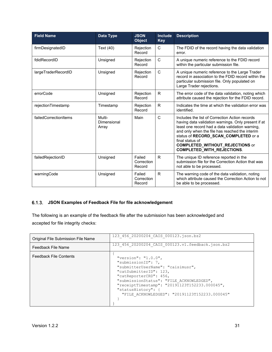| <b>Field Name</b>     | Data Type                      | <b>JSON</b><br><b>Object</b>   | <b>Include</b><br><b>Key</b> | <b>Description</b>                                                                                                                                                                                                                                                                                                                                   |
|-----------------------|--------------------------------|--------------------------------|------------------------------|------------------------------------------------------------------------------------------------------------------------------------------------------------------------------------------------------------------------------------------------------------------------------------------------------------------------------------------------------|
| firmDesignatedID      | Text (40)                      | Rejection<br>Record            | C                            | The FDID of the record having the data validation<br>error.                                                                                                                                                                                                                                                                                          |
| fdidRecordID          | Unsigned                       | Rejection<br>Record            | $\mathsf{C}$                 | A unique numeric reference to the FDID record<br>within the particular submission file.                                                                                                                                                                                                                                                              |
| largeTraderRecordID   | Unsigned                       | Rejection<br>Record            | $\mathsf{C}$                 | A unique numeric reference to the Large Trader<br>record in association to the FDID record within the<br>particular submission file. Only populated on<br>Large Trader rejections.                                                                                                                                                                   |
| errorCode             | Unsigned                       | Rejection<br>Record            | R                            | The error code of the data validation, noting which<br>attribute caused the rejection for the FDID record.                                                                                                                                                                                                                                           |
| rejectionTimestamp    | Timestamp                      | Rejection<br>Record            | $\mathsf{R}$                 | Indicates the time at which the validation error was<br>identified.                                                                                                                                                                                                                                                                                  |
| failedCorrectionItems | Multi-<br>Dimensional<br>Array | Main                           | C                            | Includes the list of Correction Action records<br>having data validation warnings. Only present if at<br>least one record had a data validation warning,<br>and only when the file has reached the interim<br>status of RECORD_SCAN_COMPLETED or a<br>final status of<br><b>COMPLETED_WITHOUT_REJECTIONS or</b><br><b>COMPLETED_WITH_REJECTIONS.</b> |
| failedRejectionID     | Unsigned                       | Failed<br>Correction<br>Record | R                            | The unique ID reference reported in the<br>submission file for the Correction Action that was<br>not able to be processed.                                                                                                                                                                                                                           |
| warningCode           | Unsigned                       | Failed<br>Correction<br>Record | $\mathsf{R}$                 | The warning code of the data validation, noting<br>which attribute caused the Correction Action to not<br>be able to be processed.                                                                                                                                                                                                                   |

# <span id="page-36-0"></span>**JSON Examples of Feedback File for file acknowledgement**

The following is an example of the feedback file after the submission has been acknowledged and accepted for file integrity checks:

| Original File Submission File Name | 123 456 20200204 CAIS 000123.json.bz2                                                                                                                                                                                                                                                                      |
|------------------------------------|------------------------------------------------------------------------------------------------------------------------------------------------------------------------------------------------------------------------------------------------------------------------------------------------------------|
| Feedback File Name                 | 123 456 20200204 CAIS 000123.v1.feedback.json.bz2                                                                                                                                                                                                                                                          |
| <b>Feedback File Contents</b>      | "version": " $1.0.0$ ",<br>"submissionID": 7,<br>"submitterUserName": "caisimusr",<br>"catSubmitterID": 123,<br>"catReporterCRD": 456,<br>"submissionStatus": "FILE ACKNOWLEDGED",<br>"receiptTimestamp": "20191123T152233.000045",<br>"statusHistory": {<br>"FILE ACKNOWLEDGED": "20191123T152233.000045" |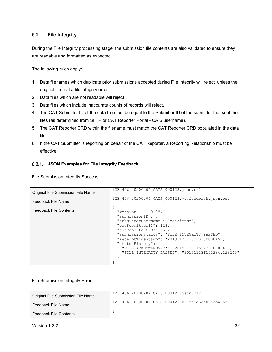# <span id="page-37-0"></span>**6.2. File Integrity**

During the File Integrity processing stage, the submission file contents are also validated to ensure they are readable and formatted as expected.

The following rules apply:

- 1. Data filenames which duplicate prior submissions accepted during File Integrity will reject, unless the original file had a file integrity error.
- 2. Data files which are not readable will reject.
- 3. Data files which include inaccurate counts of records will reject.
- 4. The CAT Submitter ID of the data file must be equal to the Submitter ID of the submitter that sent the files (as determined from SFTP or CAT Reporter Portal - CAIS username).
- 5. The CAT Reporter CRD within the filename must match the CAT Reporter CRD populated in the data file.
- 6. If the CAT Submitter is reporting on behalf of the CAT Reporter, a Reporting Relationship must be effective.

# <span id="page-37-1"></span>**JSON Examples for File Integrity Feedback**

File Submission Integrity Success:

| Original File Submission File Name | 123 456 20200204 CAIS 000123.json.bz2                                                                                                                                                                                                                                                                                                                                |
|------------------------------------|----------------------------------------------------------------------------------------------------------------------------------------------------------------------------------------------------------------------------------------------------------------------------------------------------------------------------------------------------------------------|
| Feedback File Name                 | 123 456 20200204 CAIS 000123.v1.feedback.json.bz2                                                                                                                                                                                                                                                                                                                    |
| <b>Feedback File Contents</b>      | "version": " $1.0.0$ ",<br>"submissionID": 7,<br>"submitterUserName": "caisimusr",<br>"catSubmitterID": 123,<br>"catReporterCRD": 456,<br>"submissionStatus": "FILE INTEGRITY PASSED",<br>"receiptTimestamp": "20191123T152233.000045",<br>"statusHistory": {<br>"FILE ACKNOWLEDGED": "20191123T152233.000045",<br>"FILE INTEGRITY PASSED": "20191123T152234.123245" |

File Submission Integrity Error:

| Original File Submission File Name | 123 456 20200204 CAIS 000123.json.bz2             |
|------------------------------------|---------------------------------------------------|
| Feedback File Name                 | 123 456 20200204 CAIS 000123.v2.feedback.json.bz2 |
| <b>Feedback File Contents</b>      |                                                   |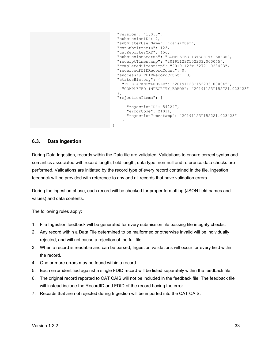```
 "version": "1.0.0",
  "submissionID": 7,
  "submitterUserName": "caisimusr",
  "catSubmitterID": 123,
  "catReporterCRD": 456,
  "submissionStatus": "COMPLETED_INTEGRITY_ERROR",
  "receiptTimestamp": "20191123T152233.000045",
  "completedTimestamp": "20191123T152721.023423",
  "receivedFDIDRecordCount": 0,
  "successfulFDIDRecordCount": 0,
  "statusHistory": {
    "FILE_ACKNOWLEDGED": "20191123T152233.000045",
    "COMPLETED_INTEGRITY_ERROR": "20191123T152721.023423"
  }, 
  "rejectionItems": [
    {
       "rejectionID": 542247,
      "errorCode": 21011,
      "rejectionTimestamp": "20191123T152221.023423"
    }
}
```
# <span id="page-38-0"></span>**6.3. Data Ingestion**

During Data Ingestion, records within the Data file are validated. Validations to ensure correct syntax and semantics associated with record length, field length, data type, non-null and reference data checks are performed. Validations are initiated by the record type of every record contained in the file. Ingestion feedback will be provided with reference to any and all records that have validation errors.

During the ingestion phase, each record will be checked for proper formatting (JSON field names and values) and data contents.

The following rules apply:

- 1. File Ingestion feedback will be generated for every submission file passing file integrity checks.
- 2. Any record within a Data File determined to be malformed or otherwise invalid will be individually rejected, and will not cause a rejection of the full file.
- 3. When a record is readable and can be parsed, Ingestion validations will occur for every field within the record.
- 4. One or more errors may be found within a record.
- 5. Each error identified against a single FDID record will be listed separately within the feedback file.
- 6. The original record reported to CAT CAIS will not be included in the feedback file. The feedback file will instead include the RecordID and FDID of the record having the error.
- 7. Records that are not rejected during Ingestion will be imported into the CAT CAIS.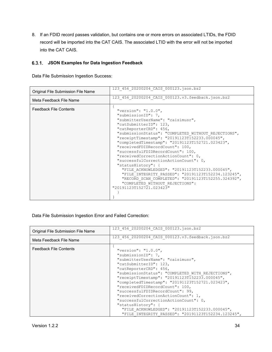8. If an FDID record passes validation, but contains one or more errors on associated LTIDs, the FDID record will be imported into the CAT CAIS. The associated LTID with the error will not be imported into the CAT CAIS.

# <span id="page-39-0"></span>**JSON Examples for Data Ingestion Feedback**

Data File Submission Ingestion Success:

| Original File Submission File Name | 123 456 20200204 CAIS 000123.json.bz2                                                                    |
|------------------------------------|----------------------------------------------------------------------------------------------------------|
| Meta Feedback File Name            | 123_456_20200204_CAIS_000123.v3.feedback.json.bz2                                                        |
| <b>Feedback File Contents</b>      | "version": "1.0.0",<br>"submissionID": 7,                                                                |
|                                    | "submitterUserName": "caisimusr",                                                                        |
|                                    | "catSubmitterID": 123,<br>"catReporterCRD": 456,                                                         |
|                                    | "submissionStatus": "COMPLETED WITHOUT REJECTIONS",<br>"receiptTimestamp": "20191123T152233.000045",     |
|                                    | "completedTimestamp": "20191123T152721.023423",                                                          |
|                                    | "receivedFDIDRecordCount": 100,<br>"successfulFDIDRecordCount": 100,                                     |
|                                    | "receivedCorrectionActionCount": 0,                                                                      |
|                                    | "successfulCorrectionActionCount": 0,                                                                    |
|                                    | "statusHistory": {                                                                                       |
|                                    | "FILE ACKNOWLEDGED": "20191123T152233.000045",                                                           |
|                                    | "FILE INTEGRITY PASSED": "20191123T152234.123245",<br>"RECORD SCAN COMPLETED": "20191123T152255.324392", |
|                                    | "COMPLETED WITHOUT REJECTIONS":                                                                          |
|                                    | "20191123T152721.023423"                                                                                 |
|                                    |                                                                                                          |
|                                    |                                                                                                          |

# Data File Submission Ingestion Error and Failed Correction:

| Original File Submission File Name | 123 456 20200204 CAIS 000123.json.bz2                                                                                                                                                                                                                                                                                                                                                                                                                                                                                                                                               |
|------------------------------------|-------------------------------------------------------------------------------------------------------------------------------------------------------------------------------------------------------------------------------------------------------------------------------------------------------------------------------------------------------------------------------------------------------------------------------------------------------------------------------------------------------------------------------------------------------------------------------------|
| Meta Feedback File Name            | 123 456 20200204 CAIS 000123.v3.feedback.json.bz2                                                                                                                                                                                                                                                                                                                                                                                                                                                                                                                                   |
| <b>Feedback File Contents</b>      | "version": " $1.0.0$ ",<br>"submissionID": 7,<br>"submitterUserName": "caisimusr",<br>"catSubmitterID": 123,<br>"catReporterCRD": 456,<br>"submissionStatus": "COMPLETED WITH REJECTIONS",<br>"receiptTimestamp": "20191123T152233.000045",<br>"completedTimestamp": "20191123T152721.023423",<br>"receivedFDIDRecordCount": 100,<br>"successfulFDIDRecordCount": 99,<br>"receivedCorrectionActionCount": 1,<br>"successfulCorrectionActionCount": 0,<br>"statusHistory": {<br>"FILE ACKNOWLEDGED": "20191123T152233.000045",<br>"FILE INTEGRITY PASSED": "20191123T152234.123245", |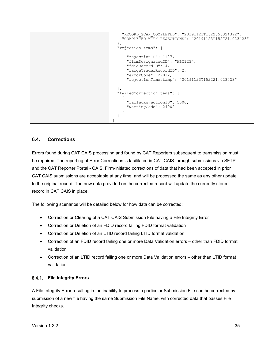```
 "RECORD_SCAN_COMPLETED": "20191123T152255.324392",
     "COMPLETED_WITH_REJECTIONS": "20191123T152721.023423"
  }, 
  "rejectionItems": [
    {
       "rejectionID": 1127,
       "firmDesignatedID": "ABC123",
       "fdidRecordID": 4,
       "largeTraderRecordID": 2,
       "errorCode": 22012,
       "rejectionTimestamp": "20191123T152221.023423"
     }
 \frac{1}{2},
  "failedCorrectionItems": [
   \{ "failedRejectionID": 5000,
       "warningCode": 24002
     }
  ]
}
```
# <span id="page-40-0"></span>**6.4. Corrections**

Errors found during CAT CAIS processing and found by CAT Reporters subsequent to transmission must be repaired. The reporting of Error Corrections is facilitated in CAT CAIS through submissions via SFTP and the CAT Reporter Portal - CAIS. Firm-initiated corrections of data that had been accepted in prior CAT CAIS submissions are acceptable at any time, and will be processed the same as any other update to the original record. The new data provided on the corrected record will update the currently stored record in CAT CAIS in place.

The following scenarios will be detailed below for how data can be corrected:

- Correction or Clearing of a CAT CAIS Submission File having a File Integrity Error
- Correction or Deletion of an FDID record failing FDID format validation
- Correction or Deletion of an LTID record failing LTID format validation
- Correction of an FDID record failing one or more Data Validation errors other than FDID format validation
- Correction of an LTID record failing one or more Data Validation errors other than LTID format validation

# <span id="page-40-1"></span>**File Integrity Errors**

A File Integrity Error resulting in the inability to process a particular Submission File can be corrected by submission of a new file having the same Submission File Name, with corrected data that passes File Integrity checks.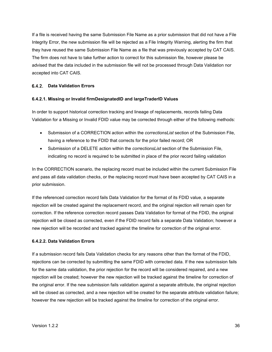If a file is received having the same Submission File Name as a prior submission that did not have a File Integrity Error, the new submission file will be rejected as a File Integrity Warning, alerting the firm that they have reused the same Submission File Name as a file that was previously accepted by CAT CAIS. The firm does not have to take further action to correct for this submission file, however please be advised that the data included in the submission file will not be processed through Data Validation nor accepted into CAT CAIS.

# <span id="page-41-0"></span>**Data Validation Errors**

# **6.4.2.1. Missing or Invalid firmDesignatedID and largeTraderID Values**

In order to support historical correction tracking and lineage of replacements, records failing Data Validation for a Missing or Invalid FDID value may be corrected through either of the following methods:

- Submission of a CORRECTION action within the *correctionsList* section of the Submission File, having a reference to the FDID that corrects for the prior failed record; OR
- Submission of a DELETE action within the *correctionsList* section of the Submission File, indicating no record is required to be submitted in place of the prior record failing validation

In the CORRECTION scenario, the replacing record must be included within the current Submission File and pass all data validation checks, or the replacing record must have been accepted by CAT CAIS in a prior submission.

If the referenced correction record fails Data Validation for the format of its FDID value, a separate rejection will be created against the replacement record, and the original rejection will remain open for correction. If the reference correction record passes Data Validation for format of the FDID, the original rejection will be closed as corrected, even if the FDID record fails a separate Data Validation; however a new rejection will be recorded and tracked against the timeline for correction of the original error.

# **6.4.2.2. Data Validation Errors**

If a submission record fails Data Validation checks for any reasons other than the format of the FDID, rejections can be corrected by submitting the same FDID with corrected data. If the new submission fails for the same data validation, the prior rejection for the record will be considered repaired, and a new rejection will be created; however the new rejection will be tracked against the timeline for correction of the original error. If the new submission fails validation against a separate attribute, the original rejection will be closed as corrected, and a new rejection will be created for the separate attribute validation failure; however the new rejection will be tracked against the timeline for correction of the original error.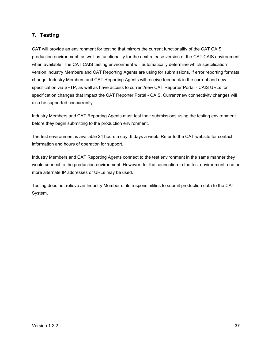# <span id="page-42-0"></span>**7. Testing**

CAT will provide an environment for testing that mirrors the current functionality of the CAT CAIS production environment, as well as functionality for the next release version of the CAT CAIS environment when available. The CAT CAIS testing environment will automatically determine which specification version Industry Members and CAT Reporting Agents are using for submissions. If error reporting formats change, Industry Members and CAT Reporting Agents will receive feedback in the current and new specification via SFTP, as well as have access to current/new CAT Reporter Portal - CAIS URLs for specification changes that impact the CAT Reporter Portal - CAIS. Current/new connectivity changes will also be supported concurrently.

Industry Members and CAT Reporting Agents must test their submissions using the testing environment before they begin submitting to the production environment.

The test environment is available 24 hours a day, 6 days a week. Refer to the CAT website for contact information and hours of operation for support.

Industry Members and CAT Reporting Agents connect to the test environment in the same manner they would connect to the production environment. However, for the connection to the test environment, one or more alternate IP addresses or URLs may be used.

Testing does not relieve an Industry Member of its responsibilities to submit production data to the CAT System.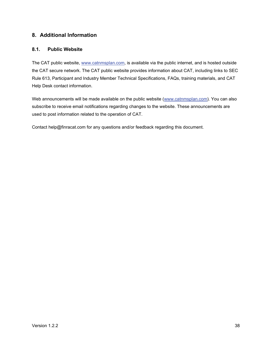# <span id="page-43-0"></span>**8. Additional Information**

# <span id="page-43-1"></span>**8.1. Public Website**

The CAT public website, [www.catnmsplan.com,](https://www.catnmsplan.com/) is available via the public internet, and is hosted outside the CAT secure network. The CAT public website provides information about CAT, including links to SEC Rule 613, Participant and Industry Member Technical Specifications, FAQs, training materials, and CAT Help Desk contact information.

Web announcements will be made available on the public website [\(www.catnmsplan.com\)](https://www.catnmsplan.com/). You can also subscribe to receive email notifications regarding changes to the website. These announcements are used to post information related to the operation of CAT.

Contact help@finracat.com for any questions and/or feedback regarding this document.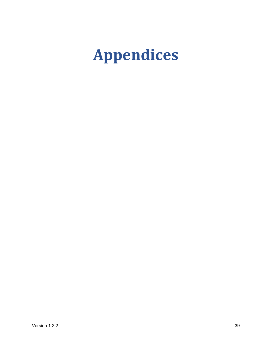# <span id="page-44-0"></span>**Appendices**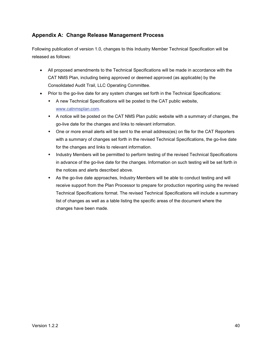# <span id="page-45-0"></span>**Appendix A: Change Release Management Process**

Following publication of version 1.0, changes to this Industry Member Technical Specification will be released as follows:

- All proposed amendments to the Technical Specifications will be made in accordance with the CAT NMS Plan, including being approved or deemed approved (as applicable) by the Consolidated Audit Trail, LLC Operating Committee.
- Prior to the go-live date for any system changes set forth in the Technical Specifications:
	- A new Technical Specifications will be posted to the CAT public website, [www.catnmsplan.com.](https://www.catnmsplan.com/)
	- A notice will be posted on the CAT NMS Plan public website with a summary of changes, the go-live date for the changes and links to relevant information.
	- One or more email alerts will be sent to the email address(es) on file for the CAT Reporters with a summary of changes set forth in the revised Technical Specifications, the go-live date for the changes and links to relevant information.
	- Industry Members will be permitted to perform testing of the revised Technical Specifications in advance of the go-live date for the changes. Information on such testing will be set forth in the notices and alerts described above.
	- As the go-live date approaches, Industry Members will be able to conduct testing and will receive support from the Plan Processor to prepare for production reporting using the revised Technical Specifications format. The revised Technical Specifications will include a summary list of changes as well as a table listing the specific areas of the document where the changes have been made.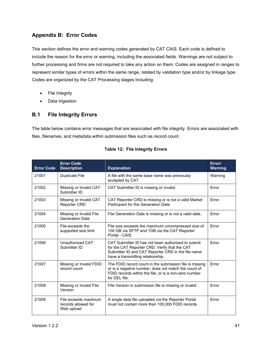# <span id="page-46-0"></span>**Appendix B: Error Codes**

This section defines the error and warning codes generated by CAT CAIS. Each code is defined to include the reason for the error or warning, including the associated fields. Warnings are not subject to further processing and firms are not required to take any action on them. Codes are assigned in ranges to represent similar types of errors within the same range, related by validation type and/or by linkage type. Codes are organized by the CAT Processing stages including:

- File Integrity
- Data Ingestion

# <span id="page-46-1"></span>**B.1 File Integrity Errors**

The table below contains error messages that are associated with file integrity. Errors are associated with files, filenames, and metadata within submission files such as record count.

| <b>Error Code</b> | <b>Error Code</b><br><b>Description</b>                   | <b>Explanation</b>                                                                                                                                                                             | Error/<br><b>Warning</b> |
|-------------------|-----------------------------------------------------------|------------------------------------------------------------------------------------------------------------------------------------------------------------------------------------------------|--------------------------|
| 21001             | <b>Duplicate File</b>                                     | A file with the same base name was previously<br>accepted by CAT.                                                                                                                              | Warning                  |
| 21002             | Missing or Invalid CAT<br>Submitter ID                    | CAT Submitter ID is missing or invalid.                                                                                                                                                        | Error                    |
| 21003             | Missing or Invalid CAT<br><b>Reporter CRD</b>             | CAT Reporter CRD is missing or is not a valid Market<br>Participant for the Generation Date.                                                                                                   | Error                    |
| 21004             | Missing or Invalid File<br><b>Generation Date</b>         | File Generation Date is missing or is not a valid date.                                                                                                                                        | Error                    |
| 21005             | File exceeds the<br>supported size limit                  | File size exceeds the maximum uncompressed size of<br>100 GB via SFTP and 1GB via the CAT Reporter<br>Portal - CAIS.                                                                           | Error                    |
| 21006             | Unauthorized CAT<br>Submitter ID                          | CAT Submitter ID has not been authorized to submit<br>for the CAT Reporter CRD. Verify that the CAT<br>Submitter ID and CAT Reporter CRD in the file name<br>have a transmitting relationship. | Frror                    |
| 21007             | Missing or Invalid FDID<br>record count                   | The FDID record count in the submission file is missing<br>or is a negative number, does not match the count of<br>FDID records within the file, or is a non-zero number<br>for DFI file.      | Error                    |
| 21008             | Missing or Invalid File<br>Version                        | File Version in submission file is missing or invalid.                                                                                                                                         | Error                    |
| 21009             | File exceeds maximum<br>records allowed for<br>Web upload | A single data file uploaded via the Reporter Portal<br>must not contain more than 100,000 FDID records.                                                                                        | Error                    |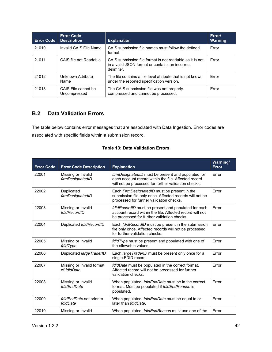| <b>Error Code</b> | <b>Error Code</b><br><b>Description</b> | <b>Explanation</b>                                                                                                        | Error/<br><b>Warning</b> |
|-------------------|-----------------------------------------|---------------------------------------------------------------------------------------------------------------------------|--------------------------|
| 21010             | Invalid CAIS File Name                  | CAIS submission file names must follow the defined<br>format.                                                             | Error                    |
| 21011             | CAIS file not Readable                  | CAIS submission file format is not readable as it is not<br>in a valid JSON format or contains an incorrect<br>delimiter. | Error                    |
| 21012             | Unknown Attribute<br>Name               | The file contains a file level attribute that is not known<br>under the reported specification version.                   | Error                    |
| 21013             | CAIS File cannot be<br>Uncompressed     | The CAIS submission file was not properly<br>compressed and cannot be processed.                                          | <b>Frror</b>             |

# <span id="page-47-0"></span>**B.2 Data Validation Errors**

The table below contains error messages that are associated with Data Ingestion. Error codes are associated with specific fields within a submission record.

| <b>Error Code</b> | <b>Error Code Description</b>            | <b>Explanation</b>                                                                                                                                                 | Warning/<br><b>Error</b> |
|-------------------|------------------------------------------|--------------------------------------------------------------------------------------------------------------------------------------------------------------------|--------------------------|
| 22001             | Missing or Invalid<br>firmDesignatedID   | firmDesignatedID must be present and populated for<br>each account record within the file. Affected record<br>will not be processed for further validation checks. | <b>Frror</b>             |
| 22002             | Duplicated<br>firmDesignatedID           | Each FirmDesignatedID must be present in the<br>submission file only once. Affected records will not be<br>processed for further validation checks.                | Error                    |
| 22003             | Missing or Invalid<br>fdidRecordID       | fdidRecordID must be present and populated for each<br>account record within the file. Affected record will not<br>be processed for further validation checks.     | Error                    |
| 22004             | Duplicated fdidRecordID                  | Each fdidRecordID must be present in the submission<br>file only once. Affected records will not be processed<br>for further validation checks.                    | Error                    |
| 22005             | Missing or Invalid<br>fdidType           | fdidType must be present and populated with one of<br>the allowable values.                                                                                        | Frror                    |
| 22006             | Duplicated large TraderID                | Each <i>large TraderID</i> must be present only once for a<br>single FDID record.                                                                                  | Frror                    |
| 22007             | Missing or Invalid format<br>of fdidDate | fdidDate must be populated in the correct format.<br>Affected record will not be processed for further<br>validation checks.                                       | <b>Frror</b>             |
| 22008             | Missing or Invalid<br>fdidEndDate        | When populated, fdidEndDate must be in the correct<br>format. Must be populated if fdidEndReason is<br>populated.                                                  | Error                    |
| 22009             | fdidEndDate set prior to<br>fdidDate     | When populated, fdidEndDate must be equal to or<br>later than folidDate.                                                                                           | Error                    |
| 22010             | Missing or Invalid                       | When populated, <i>fdidEndReason</i> must use one of the                                                                                                           | Error                    |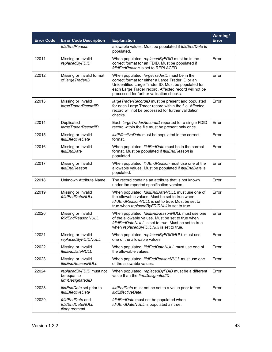| <b>Error Code</b> | <b>Error Code Description</b>                              | <b>Explanation</b>                                                                                                                                                                                                                                             | Warning/<br><b>Error</b> |
|-------------------|------------------------------------------------------------|----------------------------------------------------------------------------------------------------------------------------------------------------------------------------------------------------------------------------------------------------------------|--------------------------|
|                   | fdidEndReason                                              | allowable values. Must be populated if fdidEndDate is<br>populated.                                                                                                                                                                                            |                          |
| 22011             | Missing or Invalid<br>replacedByFDID                       | When populated, replacedByFDID must be in the<br>correct format for an FDID. Must be populated if<br>fdidEndReason is set to REPLACED.                                                                                                                         | Error                    |
| 22012             | Missing or Invalid format<br>of large TraderID             | When populated, large TraderID must be in the<br>correct format for either a Large Trader ID or an<br>Unidentified Large Trader ID. Must be populated for<br>each Large Trader record. Affected record will not be<br>processed for further validation checks. | Error                    |
| 22013             | Missing or Invalid<br>largeTraderRecordID                  | large TraderRecordID must be present and populated<br>for each Large Trader record within the file. Affected<br>record will not be processed for further validation<br>checks.                                                                                 | Error                    |
| 22014             | Duplicated<br>largeTraderRecordID                          | Each large Trader RecordID reported for a single FDID<br>record within the file must be present only once.                                                                                                                                                     | Error                    |
| 22015             | Missing or Invalid<br><b>ItidEffectiveDate</b>             | ItidEffectiveDate must be populated in the correct<br>format.                                                                                                                                                                                                  | Error                    |
| 22016             | Missing or Invalid<br><b>ItidEndDate</b>                   | When populated, <i>ItidEndDate</i> must be in the correct<br>format. Must be populated if ItidEndReason is<br>populated.                                                                                                                                       | Error                    |
| 22017             | Missing or Invalid<br><b>ItidEndReason</b>                 | When populated, <i>ItidEndReason</i> must use one of the<br>allowable values. Must be populated if <i>ItidEndDate</i> is<br>populated.                                                                                                                         | Error                    |
| 22018             | Unknown Attribute Name                                     | The record contains an attribute that is not known<br>under the reported specification version.                                                                                                                                                                | Error                    |
| 22019             | Missing or Invalid<br>fdidEndDateNULL                      | When populated, fdidEndDateNULL must use one of<br>the allowable values. Must be set to true when<br>fdidEndReasonNULL is set to true. Must be set to<br>true when replacedByFDIDNull is set to true.                                                          | Error                    |
| 22020             | Missing or Invalid<br>fdidEndReasonNULL                    | When populated, fdidEndReasonNULL must use one<br>of the allowable values. Must be set to true when<br>fdidEndDateNULL is set to true. Must be set to true<br>when replacedByFDIDNull is set to true.                                                          | Error                    |
| 22021             | Missing or Invalid<br>replacedByFDIDNULL                   | When populated, replacedByFDIDNULL must use<br>one of the allowable values.                                                                                                                                                                                    | Error                    |
| 22022             | Missing or Invalid<br><b>ItidEndDateNULL</b>               | When populated, ItidEndDateNULL must use one of<br>the allowable values.                                                                                                                                                                                       | Error                    |
| 22023             | Missing or Invalid<br><b>ItidEndReasonNULL</b>             | When populated, ItidEndReasonNULL must use one<br>of the allowable values.                                                                                                                                                                                     | Error                    |
| 22024             | replacedByFDID must not<br>be equal to<br>firmDesignatedID | When populated, replacedByFDID must be a different<br>value than the firmDesignatedID.                                                                                                                                                                         | Error                    |
| 22028             | ItidEndDate set prior to<br><b>ItidEffectiveDate</b>       | ItidEndDate must not be set to a value prior to the<br>ItidEffectiveDate.                                                                                                                                                                                      | Error                    |
| 22029             | fdidEndDate and<br>fdidEndDateNULL<br>disagreement         | fdidEndDate must not be populated when<br>fdidEndDateNULL is populated as true.                                                                                                                                                                                | Error                    |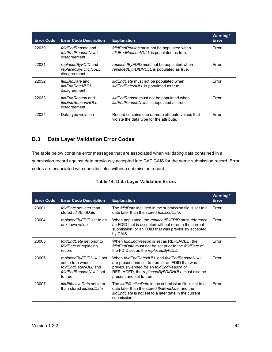| <b>Error Code</b> | <b>Error Code Description</b>                                    | <b>Explanation</b>                                                                            | Warning/<br><b>Error</b> |
|-------------------|------------------------------------------------------------------|-----------------------------------------------------------------------------------------------|--------------------------|
| 22030             | fdidEndReason and<br>fdidEndReasonNULL<br>disagreement           | fdidEndReason must not be populated when<br>fdidEndReasonNULL is populated as true.           | Error                    |
| 22031             | replacedByFDID and<br>replacedByFDIDNULL<br>disagreement         | replacedByFDID must not be populated when<br>replacedByFDIDNULL is populated as true.         | Error                    |
| 22032             | <i>ItidEndDate</i> and<br><b>ItidEndDateNULL</b><br>disagreement | <i>ItidEndDate</i> must not be populated when<br>ItidEndDateNULL is populated as true.        | Error                    |
| 22033             | <i>ItidEndReason</i> and<br>ltidEndReasonNULL<br>disagreement    | <i>ItidEndReason</i> must not be populated when<br>ItidEndReasonNULL is populated as true.    | Error                    |
| 22034             | Data type violation                                              | Record contains one or more attribute values that<br>violate the data type for the attribute. | Error                    |

# <span id="page-49-0"></span>**B.3 Data Layer Validation Error Codes**

The table below contains error messages that are associated when validating data contained in a submission record against data previously accepted into CAT CAIS for the same submission record. Error codes are associated with specific fields within a submission record.

|  |  |  | <b>Table 14: Data Layer Validation Errors</b> |  |
|--|--|--|-----------------------------------------------|--|
|--|--|--|-----------------------------------------------|--|

| <b>Error Code</b> | <b>Error Code Description</b>                                                                         | <b>Explanation</b>                                                                                                                                                                                                      | Warning/<br>Error |
|-------------------|-------------------------------------------------------------------------------------------------------|-------------------------------------------------------------------------------------------------------------------------------------------------------------------------------------------------------------------------|-------------------|
| 23001             | <i>fdidDate</i> set later than<br>stored fdidEndDate                                                  | The <i>fdidDate</i> included in the submission file is set to a<br>date later than the stored folidEndDate.                                                                                                             | Error             |
| 23004             | replacedByFDID set to an<br>unknown value                                                             | When populated, the replacedByFDID must reference<br>an FDID that is accepted without error in the current<br>submission, or an FDID that was previously accepted<br>by CAIS.                                           | Error             |
| 23005             | <i>fdidEndDate</i> set prior to<br>fdidDate of replacing<br>record                                    | When fdidEndReason is set as REPLACED, the<br>fdidEndDate must not be set prior to the fdidDate of<br>the FDID set as the replaced By FDID.                                                                             | Error             |
| 23006             | replacedByFDIDNULL not<br>set to true when<br>fdidEndDateNULL and<br>fdidEndReasonNULL set<br>to true | When fdidEndDateNULL and fdidEndReasonNULL<br>are present and set to true for an FDID that was<br>previously ended for an fdidEndReason of<br>REPLACED, the replacedByFDIDNULL must also be<br>present and set to true. | Error             |
| 23007             | <i>ItidEffectiveDate</i> set later<br>than stored <i>ItidEndDate</i>                                  | The <i>ItidEffectiveDate</i> in the submission file is set to a<br>date later than the stored <i>ItidEndDate</i> , and the<br><i>ItidEndDate</i> is not set to a later date in the current<br>submission.               | Error             |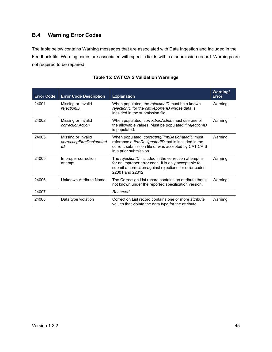# <span id="page-50-0"></span>**B.4 Warning Error Codes**

The table below contains Warning messages that are associated with Data Ingestion and included in the Feedback file. Warning codes are associated with specific fields within a submission record. Warnings are not required to be repaired.

| <b>Error Code</b> | <b>Error Code Description</b>                        | <b>Explanation</b>                                                                                                                                                                              | <b>Warning/</b><br><b>Error</b> |
|-------------------|------------------------------------------------------|-------------------------------------------------------------------------------------------------------------------------------------------------------------------------------------------------|---------------------------------|
| 24001             | Missing or Invalid<br>rejectionID                    | When populated, the rejectionID must be a known<br>rejectionID for the catReporterID whose data is<br>included in the submission file.                                                          | Warning                         |
| 24002             | Missing or Invalid<br>correctionAction               | When populated, <i>correctionAction</i> must use one of<br>the allowable values. Must be populated if rejectionID<br>is populated.                                                              | Warning                         |
| 24003             | Missing or Invalid<br>correctingFirmDesignated<br>ID | When populated, <i>correctingFirmDesignatedID</i> must<br>reference a firmDesignatedID that is included in the<br>current submission file or was accepted by CAT CAIS<br>in a prior submission. | Warning                         |
| 24005             | Improper correction<br>attempt                       | The rejectionID included in the correction attempt is<br>for an improper error code. It is only acceptable to<br>submit a correction against rejections for error codes<br>22001 and 22012.     | Warning                         |
| 24006             | Unknown Attribute Name                               | The Correction List record contains an attribute that is<br>not known under the reported specification version.                                                                                 | Warning                         |
| 24007             |                                                      | Reserved                                                                                                                                                                                        |                                 |
| 24008             | Data type violation                                  | Correction List record contains one or more attribute<br>values that violate the data type for the attribute.                                                                                   | Warning                         |

# **Table 15: CAT CAIS Validation Warnings**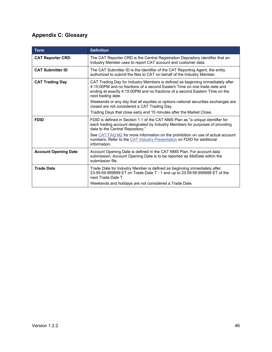# <span id="page-51-0"></span>**Appendix C: Glossary**

| <b>Term</b>                 | <b>Definition</b>                                                                                                                                                                                                                                                 |
|-----------------------------|-------------------------------------------------------------------------------------------------------------------------------------------------------------------------------------------------------------------------------------------------------------------|
| <b>CAT Reporter CRD</b>     | The CAT Reporter CRD is the Central Registration Depository identifier that an<br>Industry Member uses to report CAT account and customer data.                                                                                                                   |
| <b>CAT Submitter ID</b>     | The CAT Submitter ID is the identifier of the CAT Reporting Agent, the entity<br>authorized to submit the files to CAT on behalf of the Industry Member.                                                                                                          |
| <b>CAT Trading Day</b>      | CAT Trading Day for Industry Members is defined as beginning immediately after<br>4:15:00PM and no fractions of a second Eastern Time on one trade date and<br>ending at exactly 4:15:00PM and no fractions of a second Eastern Time on the<br>next trading date. |
|                             | Weekends or any day that all equities or options national securities exchanges are<br>closed are not considered a CAT Trading Day.                                                                                                                                |
|                             | Trading Days that close early end 15 minutes after the Market Close.                                                                                                                                                                                              |
| <b>FDID</b>                 | FDID is defined in Section 1.1 of the CAT NMS Plan as "a unique identifier for<br>each trading account designated by Industry Members for purposes of providing<br>data to the Central Repository."                                                               |
|                             | See CAT FAQ M2 for more information on the prohibition on use of actual account<br>numbers. Refer to the CAT Industry Presentation on FDID for additional<br>information.                                                                                         |
| <b>Account Opening Date</b> | Account Opening Date is defined in the CAT NMS Plan. For account data<br>submission, Account Opening Date is to be reported as <i>fdidDate</i> within the<br>submission file.                                                                                     |
| <b>Trade Date</b>           | Trade Date for Industry Member is defined as beginning immediately after<br>23:59:59.999999 ET on Trade Date T - 1 and up to 23:59:59.999999 ET of the<br>next Trade Date T.                                                                                      |
|                             | Weekends and holidays are not considered a Trade Date.                                                                                                                                                                                                            |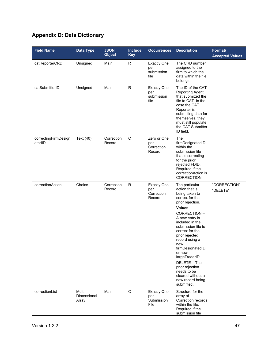# <span id="page-52-0"></span>**Appendix D: Data Dictionary**

| <b>Field Name</b>              | Data Type                             | <b>JSON</b><br><b>Object</b> | <b>Include</b><br><b>Key</b> | <b>Occurrences</b>                                | <b>Description</b>                                                                                                                                                                                                                                                                                                                                                                                    | Format/<br><b>Accepted Values</b> |
|--------------------------------|---------------------------------------|------------------------------|------------------------------|---------------------------------------------------|-------------------------------------------------------------------------------------------------------------------------------------------------------------------------------------------------------------------------------------------------------------------------------------------------------------------------------------------------------------------------------------------------------|-----------------------------------|
| catReporterCRD                 | Unsigned                              | Main                         | R                            | <b>Exactly One</b><br>per<br>submission<br>file   | The CRD number<br>assigned to the<br>firm to which the<br>data within the file<br>belongs.                                                                                                                                                                                                                                                                                                            |                                   |
| catSubmitterID                 | Unsigned                              | Main                         | $\mathsf{R}$                 | <b>Exactly One</b><br>per<br>submission<br>file   | The ID of the CAT<br>Reporting Agent<br>that submitted the<br>file to CAT. In the<br>case the CAT<br>Reporter is<br>submitting data for<br>themselves, they<br>must still populate<br>the CAT Submitter<br>ID field.                                                                                                                                                                                  |                                   |
| correctingFirmDesign<br>atedID | Text (40)                             | Correction<br>Record         | $\mathsf C$                  | Zero or One<br>per<br>Correction<br>Record        | The<br>firmDesignatedID<br>within the<br>submission file<br>that is correcting<br>for the prior<br>rejected FDID.<br>Required if the<br>correctionAction is<br>CORRECTION.                                                                                                                                                                                                                            |                                   |
| correctionAction               | Choice                                | Correction<br>Record         | R.                           | <b>Exactly One</b><br>per<br>Correction<br>Record | The particular<br>action that is<br>being taken to<br>correct for the<br>prior rejection.<br>Values:<br>CORRECTION-<br>A new entry is<br>included in the<br>submission file to<br>correct for the<br>prior rejected<br>record using a<br>new<br>firmDesignatedID<br>or new<br>largeTraderID.<br>DELETE - The<br>prior rejection<br>needs to be<br>cleared without a<br>new record being<br>submitted. | "CORRECTION"<br>"DELETE"          |
| correctionList                 | Multi-<br><b>Dimensional</b><br>Array | Main                         | $\mathbf C$                  | <b>Exactly One</b><br>per<br>Submission<br>File   | Structure for the<br>array of<br>Correction records<br>within the file.<br>Required if the<br>submission file                                                                                                                                                                                                                                                                                         |                                   |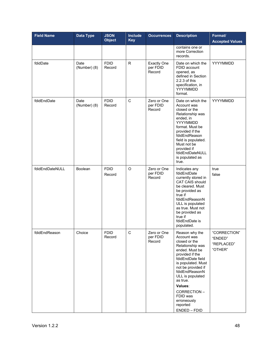| <b>Field Name</b> | <b>Data Type</b>     | <b>JSON</b><br><b>Object</b> | <b>Include</b><br><b>Key</b> | <b>Occurrences</b>                       | <b>Description</b>                                                                                                                                                                                                                                                                                          | Format/<br><b>Accepted Values</b>                |
|-------------------|----------------------|------------------------------|------------------------------|------------------------------------------|-------------------------------------------------------------------------------------------------------------------------------------------------------------------------------------------------------------------------------------------------------------------------------------------------------------|--------------------------------------------------|
|                   |                      |                              |                              |                                          | contains one or<br>more Correction<br>records.                                                                                                                                                                                                                                                              |                                                  |
| fdidDate          | Date<br>(Number) (8) | <b>FDID</b><br>Record        | R.                           | <b>Exactly One</b><br>per FDID<br>Record | Date on which the<br>FDID account<br>opened, as<br>defined in Section<br>2.2.3 of this<br>specification, in<br>YYYYMMDD<br>format.                                                                                                                                                                          | YYYYMMDD                                         |
| fdidEndDate       | Date<br>(Number) (8) | <b>FDID</b><br>Record        | C                            | Zero or One<br>per FDID<br>Record        | Date on which the<br>Account was<br>closed or the<br>Relationship was<br>ended, in<br>YYYYMMDD<br>format. Must be<br>provided if the<br>fdidEndReason<br>field is populated.<br>Must not be<br>provided if<br>fdidEndDateNULL<br>is populated as<br>true.                                                   | YYYYMMDD                                         |
| fdidEndDateNULL   | Boolean              | <b>FDID</b><br>Record        | $\circ$                      | Zero or One<br>per FDID<br>Record        | Indicates any<br>fdidEndDate<br>currently stored in<br>CAT CAIS should<br>be cleared. Must<br>be provided as<br>true if<br>fdidEndReasonN<br>ULL is populated<br>as true. Must not<br>be provided as<br>true if<br>fdidEndDate is<br>populated.                                                             | true<br>false                                    |
| fdidEndReason     | Choice               | <b>FDID</b><br>Record        | С                            | Zero or One<br>per FDID<br>Record        | Reason why the<br>Account was<br>closed or the<br>Relationship was<br>ended. Must be<br>provided if the<br>fdidEndDate field<br>is populated. Must<br>not be provided if<br>fdidEndReasonN<br>ULL is populated<br>as true.<br>Values:<br>CORRECTION-<br>FDID was<br>erroneously<br>reported<br>ENDED - FDID | "CORRECTION"<br>"ENDED"<br>"REPLACED"<br>"OTHER" |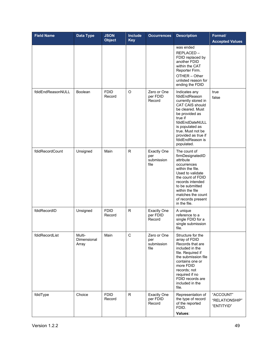| <b>Field Name</b> | <b>Data Type</b>               | <b>JSON</b><br><b>Object</b> | Include<br><b>Key</b> | <b>Occurrences</b>                              | <b>Description</b>                                                                                                                                                                                                                             | Format/<br><b>Accepted Values</b>         |
|-------------------|--------------------------------|------------------------------|-----------------------|-------------------------------------------------|------------------------------------------------------------------------------------------------------------------------------------------------------------------------------------------------------------------------------------------------|-------------------------------------------|
|                   |                                |                              |                       |                                                 | was ended<br>REPLACED-<br>FDID replaced by<br>another FDID<br>within the CAT<br>Reporter Firm.<br>OTHER - Other<br>unlisted reason for<br>ending the FDID                                                                                      |                                           |
| fdidEndReasonNULL | <b>Boolean</b>                 | <b>FDID</b><br>Record        | O                     | Zero or One<br>per FDID<br>Record               | Indicates any<br>fdidEndReason<br>currently stored in<br>CAT CAIS should<br>be cleared. Must<br>be provided as<br>true if<br>fdidEndDateNULL<br>is populated as<br>true. Must not be<br>provided as true if<br>fdidEndReason is<br>populated.  | true<br>false                             |
| fdidRecordCount   | Unsigned                       | Main                         | $\mathsf{R}$          | <b>Exactly One</b><br>per<br>submission<br>file | The count of<br>firmDesignatedID<br>attribute<br>occurrences<br>within the file.<br>Used to validate<br>the count of FDID<br>records intended<br>to be submitted<br>within the file<br>matches the count<br>of records present<br>in the file. |                                           |
| fdidRecordID      | Unsigned                       | <b>FDID</b><br>Record        | R.                    | <b>Exactly One</b><br>per FDID<br>Record        | A unique<br>reference to a<br>single FDID for a<br>single submission<br>file.                                                                                                                                                                  |                                           |
| fdidRecordList    | Multi-<br>Dimensional<br>Array | Main                         | C                     | Zero or One<br>per<br>submission<br>file        | Structure for the<br>array of FDID<br>Records that are<br>included in the<br>file. Required if<br>the submission file<br>contains one or<br>more FDID<br>records; not<br>required if no<br>FDID records are<br>included in the<br>file.        |                                           |
| fdidType          | Choice                         | <b>FDID</b><br>Record        | $\mathsf{R}$          | <b>Exactly One</b><br>per FDID<br>Record        | Representation of<br>the type of record<br>of the reported<br>FDID.<br>Values:                                                                                                                                                                 | "ACCOUNT"<br>"RELATIONSHIP"<br>"ENTITYID" |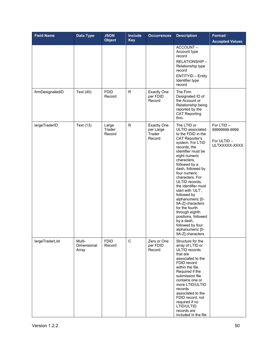| <b>Field Name</b> | <b>Data Type</b>               | <b>JSON</b><br><b>Object</b> | <b>Include</b><br><b>Key</b> | <b>Occurrences</b>                                  | <b>Description</b>                                                                                                                                                                                                                                                                                                                                                                                                                                                                                    | Format/<br><b>Accepted Values</b>                          |
|-------------------|--------------------------------|------------------------------|------------------------------|-----------------------------------------------------|-------------------------------------------------------------------------------------------------------------------------------------------------------------------------------------------------------------------------------------------------------------------------------------------------------------------------------------------------------------------------------------------------------------------------------------------------------------------------------------------------------|------------------------------------------------------------|
|                   |                                |                              |                              |                                                     | ACCOUNT-<br>Account type<br>record<br>RELATIONSHIP-<br>Relationship type<br>record<br><b>ENTITYID - Entity</b><br>Identifier type<br>record                                                                                                                                                                                                                                                                                                                                                           |                                                            |
| firmDesignatedID  | Text (40)                      | <b>FDID</b><br>Record        | $\mathsf R$                  | <b>Exactly One</b><br>per FDID<br>Record            | The Firm<br>Designated ID of<br>the Account or<br>Relationship being<br>reported by the<br><b>CAT Reporting</b><br>firm.                                                                                                                                                                                                                                                                                                                                                                              |                                                            |
| largeTraderID     | Text (13)                      | Large<br>Trader<br>Record    | $\mathsf{R}$                 | <b>Exactly One</b><br>per Large<br>Trader<br>Record | The LTID or<br>ULTID associated<br>to the FDID in the<br>CAT Reporter's<br>system. For LTID<br>records, the<br>identifier must be<br>eight numeric<br>characters,<br>followed by a<br>dash, followed by<br>four numeric<br>characters. For<br>ULTID records,<br>the identifier must<br>start with 'ULT',<br>followed by<br>alphanumeric [0-<br>9A-Z] characters<br>for the fourth<br>through eighth<br>positions, followed<br>by a dash,<br>followed by four<br>alphanumeric [0-<br>9A-Z] characters. | For LTID-<br>99999999-9999<br>For ULTID -<br>ULTXXXXX-XXXX |
| largeTraderList   | Multi-<br>Dimensional<br>Array | <b>FDID</b><br>Record        | $\mathbf C$                  | Zero or One<br>per FDID<br>Record                   | Structure for the<br>array of LTID or<br>ULTID records<br>that are<br>associated to the<br>FDID record<br>within the file.<br>Required if the<br>submission file<br>contains one or<br>more LTID/ULTID<br>records<br>associated to the<br>FDID record; not<br>required if no<br>LTID/ULTID<br>records are<br>included in the file                                                                                                                                                                     |                                                            |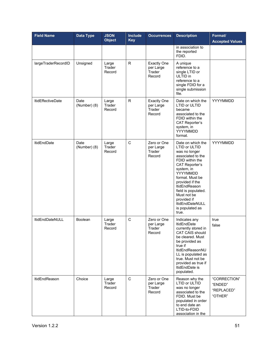| <b>Field Name</b>        | <b>Data Type</b>     | <b>JSON</b><br><b>Object</b> | <b>Include</b><br><b>Key</b> | <b>Occurrences</b>                                  | <b>Description</b>                                                                                                                                                                                                                                                                                                             | Format/<br><b>Accepted Values</b>                |
|--------------------------|----------------------|------------------------------|------------------------------|-----------------------------------------------------|--------------------------------------------------------------------------------------------------------------------------------------------------------------------------------------------------------------------------------------------------------------------------------------------------------------------------------|--------------------------------------------------|
|                          |                      |                              |                              |                                                     | in association to<br>the reported<br>FDID.                                                                                                                                                                                                                                                                                     |                                                  |
| largeTraderRecordID      | Unsigned             | Large<br>Trader<br>Record    | R.                           | <b>Exactly One</b><br>per Large<br>Trader<br>Record | A unique<br>reference to a<br>single LTID or<br>ULTID in<br>reference to a<br>single FDID for a<br>single submission<br>file.                                                                                                                                                                                                  |                                                  |
| <b>ItidEffectiveDate</b> | Date<br>(Number) (8) | Large<br>Trader<br>Record    | R.                           | <b>Exactly One</b><br>per Large<br>Trader<br>Record | Date on which the<br><b>LTID or ULTID</b><br>became<br>associated to the<br>FDID within the<br><b>CAT Reporter's</b><br>system, in<br>YYYYMMDD<br>format.                                                                                                                                                                      | YYYYMMDD                                         |
| <b>ItidEndDate</b>       | Date<br>(Number) (8) | Large<br>Trader<br>Record    | C                            | Zero or One<br>per Large<br>Trader<br>Record        | Date on which the<br><b>LTID or ULTID</b><br>was no longer<br>associated to the<br>FDID within the<br><b>CAT Reporter's</b><br>system, in<br>YYYYMMDD<br>format. Must be<br>provided if the<br><b>ItidEndReason</b><br>field is populated.<br>Must not be<br>provided if<br><b>ItidEndDateNULL</b><br>is populated as<br>true. | YYYYMMDD                                         |
| <b>ItidEndDateNULL</b>   | <b>Boolean</b>       | Large<br>Trader<br>Record    | C                            | Zero or One<br>per Large<br>Trader<br>Record        | Indicates any<br><b>ItidEndDate</b><br>currently stored in<br><b>CAT CAIS should</b><br>be cleared. Must<br>be provided as<br>true if<br>ItidEndReasonNU<br>LL is populated as<br>true. Must not be<br>provided as true if<br>ItidEndDate is<br>populated.                                                                     | true<br>false                                    |
| <b>ItidEndReason</b>     | Choice               | Large<br>Trader<br>Record    | C                            | Zero or One<br>per Large<br>Trader<br>Record        | Reason why the<br>LTID or ULTID<br>was no longer<br>associated to the<br>FDID. Must be<br>populated in order<br>to end date an<br>LTID-to-FDID<br>association in the                                                                                                                                                           | "CORRECTION"<br>"ENDED"<br>"REPLACED"<br>"OTHER" |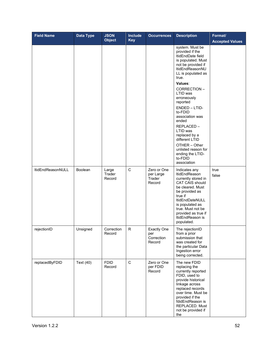| <b>Field Name</b>        | Data Type      | <b>JSON</b><br><b>Object</b> | Include<br><b>Key</b> | <b>Occurrences</b>                                | <b>Description</b>                                                                                                                                                                                                                                                                                                                                                                                                               | Format/<br><b>Accepted Values</b> |
|--------------------------|----------------|------------------------------|-----------------------|---------------------------------------------------|----------------------------------------------------------------------------------------------------------------------------------------------------------------------------------------------------------------------------------------------------------------------------------------------------------------------------------------------------------------------------------------------------------------------------------|-----------------------------------|
|                          |                |                              |                       |                                                   | system. Must be<br>provided if the<br>ItidEndDate field<br>is populated. Must<br>not be provided if<br>ItidEndReasonNU<br>LL is populated as<br>true.<br>Values:<br>CORRECTION-<br>LTID was<br>erroneously<br>reported<br>ENDED - LTID-<br>to-FDID<br>association was<br>ended<br>REPLACED-<br>LTID was<br>replaced by a<br>different LTID<br>OTHER - Other<br>unlisted reason for<br>ending the LTID-<br>to-FDID<br>association |                                   |
| <b>ItidEndReasonNULL</b> | <b>Boolean</b> | Large<br>Trader<br>Record    | C                     | Zero or One<br>per Large<br>Trader<br>Record      | Indicates any<br>ItidEndReason<br>currently stored in<br><b>CAT CAIS should</b><br>be cleared. Must<br>be provided as<br>true if<br>ItidEndDateNULL<br>is populated as<br>true. Must not be<br>provided as true if<br>ItidEndReason is<br>populated.                                                                                                                                                                             | true<br>false                     |
| rejectionID              | Unsigned       | Correction<br>Record         | R                     | <b>Exactly One</b><br>per<br>Correction<br>Record | The rejectionID<br>from a prior<br>submission that<br>was created for<br>the particular Data<br>Ingestion error<br>being corrected.                                                                                                                                                                                                                                                                                              |                                   |
| replacedByFDID           | Text (40)      | <b>FDID</b><br>Record        | $\mathbf C$           | Zero or One<br>per FDID<br>Record                 | The new FDID<br>replacing the<br>currently reported<br>FDID, used to<br>provide historical<br>linkage across<br>replaced records<br>over time. Must be<br>provided if the<br>fdidEndReason is<br>REPLACED. Must<br>not be provided if<br>the                                                                                                                                                                                     |                                   |